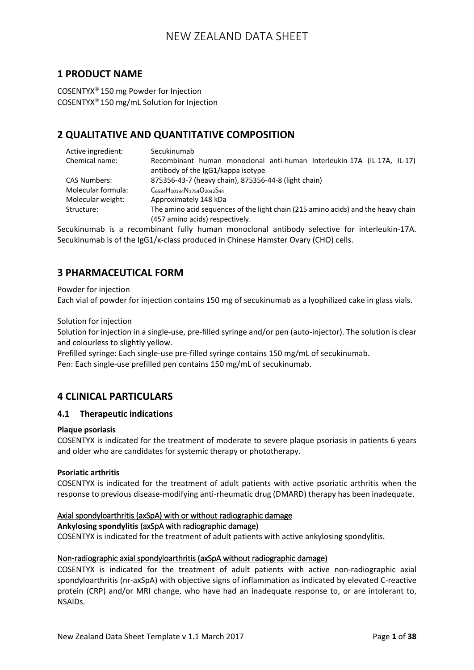## **1 PRODUCT NAME**

COSENTYX<sup>®</sup> 150 mg Powder for Injection COSENTYX 150 mg/mL Solution for Injection

## **2 QUALITATIVE AND QUANTITATIVE COMPOSITION**

| Active ingredient:  | Secukinumab                                                                       |  |  |  |  |
|---------------------|-----------------------------------------------------------------------------------|--|--|--|--|
| Chemical name:      | Recombinant human monoclonal anti-human Interleukin-17A (IL-17A, IL-17)           |  |  |  |  |
|                     | antibody of the IgG1/kappa isotype                                                |  |  |  |  |
| <b>CAS Numbers:</b> | 875356-43-7 (heavy chain), 875356-44-8 (light chain)                              |  |  |  |  |
| Molecular formula:  | $C_{6584}H_{10134}N_{1754}O_{2042}S_{44}$                                         |  |  |  |  |
| Molecular weight:   | Approximately 148 kDa                                                             |  |  |  |  |
| Structure:          | The amino acid sequences of the light chain (215 amino acids) and the heavy chain |  |  |  |  |
|                     | (457 amino acids) respectively.                                                   |  |  |  |  |

Secukinumab is a recombinant fully human monoclonal antibody selective for interleukin-17A. Secukinumab is of the IgG1/κ-class produced in Chinese Hamster Ovary (CHO) cells.

## **3 PHARMACEUTICAL FORM**

Powder for injection

Each vial of powder for injection contains 150 mg of secukinumab as a lyophilized cake in glass vials.

### Solution for injection

Solution for injection in a single-use, pre-filled syringe and/or pen (auto-injector). The solution is clear and colourless to slightly yellow.

Prefilled syringe: Each single-use pre-filled syringe contains 150 mg/mL of secukinumab. Pen: Each single-use prefilled pen contains 150 mg/mL of secukinumab.

## **4 CLINICAL PARTICULARS**

### **4.1 Therapeutic indications**

### **Plaque psoriasis**

COSENTYX is indicated for the treatment of moderate to severe plaque psoriasis in patients 6 years and older who are candidates for systemic therapy or phototherapy.

### **Psoriatic arthritis**

COSENTYX is indicated for the treatment of adult patients with active psoriatic arthritis when the response to previous disease-modifying anti-rheumatic drug (DMARD) therapy has been inadequate.

### Axial spondyloarthritis (axSpA) with or without radiographic damage

#### **Ankylosing spondylitis** (axSpA with radiographic damage)

COSENTYX is indicated for the treatment of adult patients with active ankylosing spondylitis.

### Non-radiographic axial spondyloarthritis (axSpA without radiographic damage)

COSENTYX is indicated for the treatment of adult patients with active non-radiographic axial spondyloarthritis (nr-axSpA) with objective signs of inflammation as indicated by elevated C-reactive protein (CRP) and/or MRI change, who have had an inadequate response to, or are intolerant to, NSAIDs.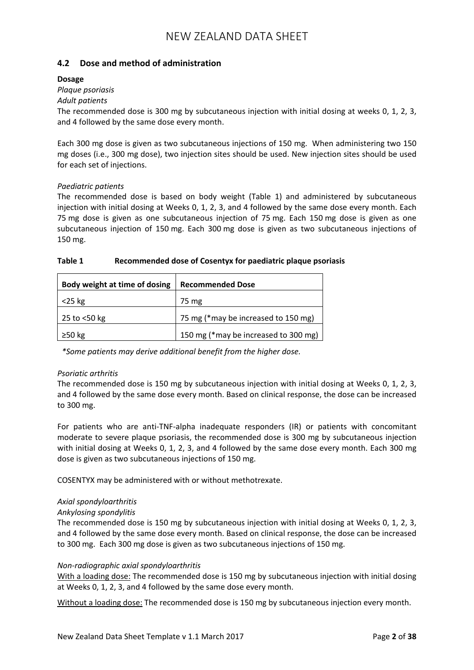## **4.2 Dose and method of administration**

### **Dosage**

## *Plaque psoriasis*

## *Adult patients*

The recommended dose is 300 mg by subcutaneous injection with initial dosing at weeks 0, 1, 2, 3, and 4 followed by the same dose every month.

Each 300 mg dose is given as two subcutaneous injections of 150 mg. When administering two 150 mg doses (i.e., 300 mg dose), two injection sites should be used. New injection sites should be used for each set of injections.

### *Paediatric patients*

The recommended dose is based on body weight (Table 1) and administered by subcutaneous injection with initial dosing at Weeks 0, 1, 2, 3, and 4 followed by the same dose every month. Each 75 mg dose is given as one subcutaneous injection of 75 mg. Each 150 mg dose is given as one subcutaneous injection of 150 mg. Each 300 mg dose is given as two subcutaneous injections of 150 mg.

### **Table 1 Recommended dose of Cosentyx for paediatric plaque psoriasis**

| Body weight at time of dosing | <b>Recommended Dose</b>              |
|-------------------------------|--------------------------------------|
| $<$ 25 kg                     | 75 mg                                |
| 25 to <50 kg                  | 75 mg (*may be increased to 150 mg)  |
| $\geq$ 50 kg                  | 150 mg (*may be increased to 300 mg) |

*\*Some patients may derive additional benefit from the higher dose.*

### *Psoriatic arthritis*

The recommended dose is 150 mg by subcutaneous injection with initial dosing at Weeks 0, 1, 2, 3, and 4 followed by the same dose every month. Based on clinical response, the dose can be increased to 300 mg.

For patients who are anti-TNF-alpha inadequate responders (IR) or patients with concomitant moderate to severe plaque psoriasis, the recommended dose is 300 mg by subcutaneous injection with initial dosing at Weeks 0, 1, 2, 3, and 4 followed by the same dose every month. Each 300 mg dose is given as two subcutaneous injections of 150 mg.

COSENTYX may be administered with or without methotrexate.

### *Axial spondyloarthritis*

### *Ankylosing spondylitis*

The recommended dose is 150 mg by subcutaneous injection with initial dosing at Weeks 0, 1, 2, 3, and 4 followed by the same dose every month. Based on clinical response, the dose can be increased to 300 mg. Each 300 mg dose is given as two subcutaneous injections of 150 mg.

#### *Non-radiographic axial spondyloarthritis*

With a loading dose: The recommended dose is 150 mg by subcutaneous injection with initial dosing at Weeks 0, 1, 2, 3, and 4 followed by the same dose every month.

Without a loading dose: The recommended dose is 150 mg by subcutaneous injection every month.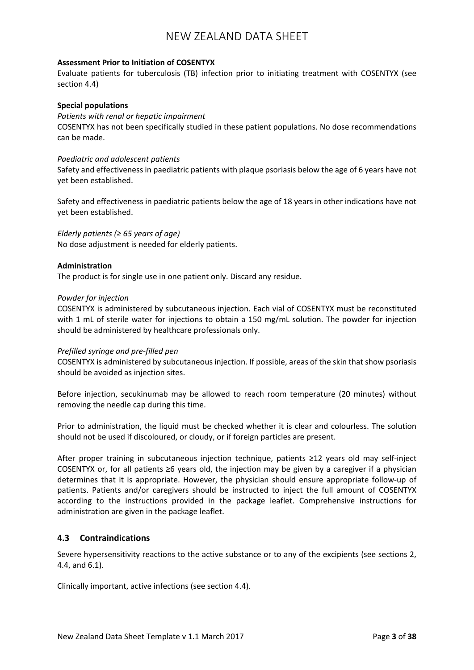#### **Assessment Prior to Initiation of COSENTYX**

Evaluate patients for tuberculosis (TB) infection prior to initiating treatment with COSENTYX (see section 4.4)

#### **Special populations**

*Patients with renal or hepatic impairment* COSENTYX has not been specifically studied in these patient populations. No dose recommendations can be made.

#### *Paediatric and adolescent patients*

Safety and effectiveness in paediatric patients with plaque psoriasis below the age of 6 years have not yet been established.

Safety and effectiveness in paediatric patients below the age of 18 years in other indications have not yet been established.

*Elderly patients (≥ 65 years of age)* No dose adjustment is needed for elderly patients.

#### **Administration**

The product is for single use in one patient only. Discard any residue.

#### *Powder for injection*

COSENTYX is administered by subcutaneous injection. Each vial of COSENTYX must be reconstituted with 1 mL of sterile water for injections to obtain a 150 mg/mL solution. The powder for injection should be administered by healthcare professionals only.

### *Prefilled syringe and pre-filled pen*

COSENTYX is administered by subcutaneous injection. If possible, areas of the skin that show psoriasis should be avoided as injection sites.

Before injection, secukinumab may be allowed to reach room temperature (20 minutes) without removing the needle cap during this time.

Prior to administration, the liquid must be checked whether it is clear and colourless. The solution should not be used if discoloured, or cloudy, or if foreign particles are present.

After proper training in subcutaneous injection technique, patients ≥12 years old may self-inject COSENTYX or, for all patients ≥6 years old, the injection may be given by a caregiver if a physician determines that it is appropriate. However, the physician should ensure appropriate follow-up of patients. Patients and/or caregivers should be instructed to inject the full amount of COSENTYX according to the instructions provided in the package leaflet. Comprehensive instructions for administration are given in the package leaflet.

### **4.3 Contraindications**

Severe hypersensitivity reactions to the active substance or to any of the excipients (see sections 2, 4.4, and 6.1).

Clinically important, active infections (see section 4.4).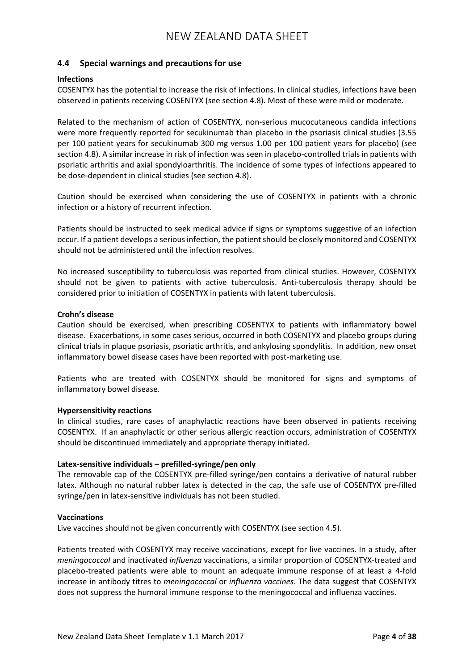### **4.4 Special warnings and precautions for use**

### **Infections**

COSENTYX has the potential to increase the risk of infections. In clinical studies, infections have been observed in patients receiving COSENTYX (see section 4.8). Most of these were mild or moderate.

Related to the mechanism of action of COSENTYX, non-serious mucocutaneous candida infections were more frequently reported for secukinumab than placebo in the psoriasis clinical studies (3.55 per 100 patient years for secukinumab 300 mg versus 1.00 per 100 patient years for placebo) (see section 4.8). A similar increase in risk of infection was seen in placebo-controlled trials in patients with psoriatic arthritis and axial spondyloarthritis. The incidence of some types of infections appeared to be dose-dependent in clinical studies (see section 4.8).

Caution should be exercised when considering the use of COSENTYX in patients with a chronic infection or a history of recurrent infection.

Patients should be instructed to seek medical advice if signs or symptoms suggestive of an infection occur. If a patient develops a serious infection, the patient should be closely monitored and COSENTYX should not be administered until the infection resolves.

No increased susceptibility to tuberculosis was reported from clinical studies. However, COSENTYX should not be given to patients with active tuberculosis. Anti-tuberculosis therapy should be considered prior to initiation of COSENTYX in patients with latent tuberculosis.

#### **Crohn's disease**

Caution should be exercised, when prescribing COSENTYX to patients with inflammatory bowel disease. Exacerbations, in some cases serious, occurred in both COSENTYX and placebo groups during clinical trials in plaque psoriasis, psoriatic arthritis, and ankylosing spondylitis. In addition, new onset inflammatory bowel disease cases have been reported with post-marketing use.

Patients who are treated with COSENTYX should be monitored for signs and symptoms of inflammatory bowel disease.

#### **Hypersensitivity reactions**

In clinical studies, rare cases of anaphylactic reactions have been observed in patients receiving COSENTYX. If an anaphylactic or other serious allergic reaction occurs, administration of COSENTYX should be discontinued immediately and appropriate therapy initiated.

### **Latex-sensitive individuals – prefilled-syringe/pen only**

The removable cap of the COSENTYX pre-filled syringe/pen contains a derivative of natural rubber latex. Although no natural rubber latex is detected in the cap, the safe use of COSENTYX pre-filled syringe/pen in latex-sensitive individuals has not been studied.

#### **Vaccinations**

Live vaccines should not be given concurrently with COSENTYX (see section 4.5).

Patients treated with COSENTYX may receive vaccinations, except for live vaccines. In a study, after *meningococcal* and inactivated *influenza* vaccinations, a similar proportion of COSENTYX-treated and placebo-treated patients were able to mount an adequate immune response of at least a 4-fold increase in antibody titres to *meningococcal* or *influenza vaccines*. The data suggest that COSENTYX does not suppress the humoral immune response to the meningococcal and influenza vaccines.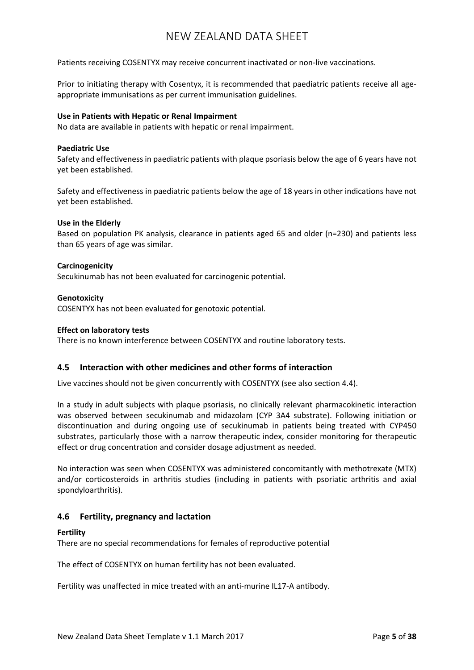Patients receiving COSENTYX may receive concurrent inactivated or non-live vaccinations.

Prior to initiating therapy with Cosentyx, it is recommended that paediatric patients receive all ageappropriate immunisations as per current immunisation guidelines.

#### **Use in Patients with Hepatic or Renal Impairment**

No data are available in patients with hepatic or renal impairment.

#### **Paediatric Use**

Safety and effectiveness in paediatric patients with plaque psoriasis below the age of 6 years have not yet been established.

Safety and effectiveness in paediatric patients below the age of 18 years in other indications have not yet been established.

#### **Use in the Elderly**

Based on population PK analysis, clearance in patients aged 65 and older (n=230) and patients less than 65 years of age was similar.

#### **Carcinogenicity**

Secukinumab has not been evaluated for carcinogenic potential.

#### **Genotoxicity**

COSENTYX has not been evaluated for genotoxic potential.

#### **Effect on laboratory tests**

There is no known interference between COSENTYX and routine laboratory tests.

### **4.5 Interaction with other medicines and other forms of interaction**

Live vaccines should not be given concurrently with COSENTYX (see also section 4.4).

In a study in adult subjects with plaque psoriasis, no clinically relevant pharmacokinetic interaction was observed between secukinumab and midazolam (CYP 3A4 substrate). Following initiation or discontinuation and during ongoing use of secukinumab in patients being treated with CYP450 substrates, particularly those with a narrow therapeutic index, consider monitoring for therapeutic effect or drug concentration and consider dosage adjustment as needed.

No interaction was seen when COSENTYX was administered concomitantly with methotrexate (MTX) and/or corticosteroids in arthritis studies (including in patients with psoriatic arthritis and axial spondyloarthritis).

### **4.6 Fertility, pregnancy and lactation**

#### **Fertility**

There are no special recommendations for females of reproductive potential

The effect of COSENTYX on human fertility has not been evaluated.

Fertility was unaffected in mice treated with an anti-murine IL17-A antibody.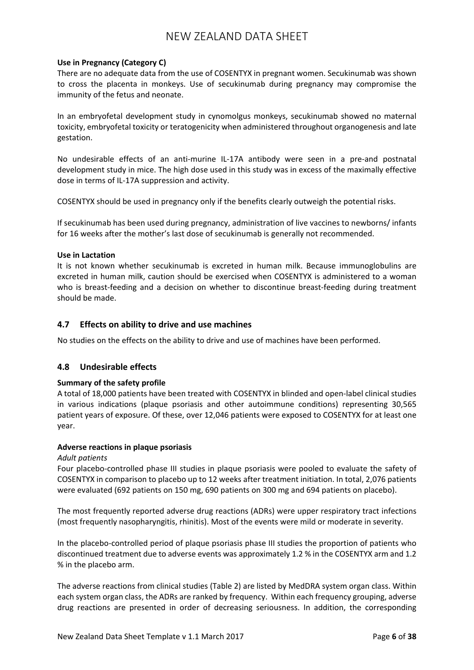### **Use in Pregnancy (Category C)**

There are no adequate data from the use of COSENTYX in pregnant women. Secukinumab was shown to cross the placenta in monkeys. Use of secukinumab during pregnancy may compromise the immunity of the fetus and neonate.

In an embryofetal development study in cynomolgus monkeys, secukinumab showed no maternal toxicity, embryofetal toxicity or teratogenicity when administered throughout organogenesis and late gestation.

No undesirable effects of an anti-murine IL-17A antibody were seen in a pre-and postnatal development study in mice. The high dose used in this study was in excess of the maximally effective dose in terms of IL-17A suppression and activity.

COSENTYX should be used in pregnancy only if the benefits clearly outweigh the potential risks.

If secukinumab has been used during pregnancy, administration of live vaccines to newborns/ infants for 16 weeks after the mother's last dose of secukinumab is generally not recommended.

#### **Use in Lactation**

It is not known whether secukinumab is excreted in human milk. Because immunoglobulins are excreted in human milk, caution should be exercised when COSENTYX is administered to a woman who is breast-feeding and a decision on whether to discontinue breast-feeding during treatment should be made.

### **4.7 Effects on ability to drive and use machines**

No studies on the effects on the ability to drive and use of machines have been performed.

### **4.8 Undesirable effects**

### **Summary of the safety profile**

A total of 18,000 patients have been treated with COSENTYX in blinded and open-label clinical studies in various indications (plaque psoriasis and other autoimmune conditions) representing 30,565 patient years of exposure. Of these, over 12,046 patients were exposed to COSENTYX for at least one year.

#### **Adverse reactions in plaque psoriasis**

#### *Adult patients*

Four placebo-controlled phase III studies in plaque psoriasis were pooled to evaluate the safety of COSENTYX in comparison to placebo up to 12 weeks after treatment initiation. In total, 2,076 patients were evaluated (692 patients on 150 mg, 690 patients on 300 mg and 694 patients on placebo).

The most frequently reported adverse drug reactions (ADRs) were upper respiratory tract infections (most frequently nasopharyngitis, rhinitis). Most of the events were mild or moderate in severity.

In the placebo-controlled period of plaque psoriasis phase III studies the proportion of patients who discontinued treatment due to adverse events was approximately 1.2 % in the COSENTYX arm and 1.2 % in the placebo arm.

The adverse reactions from clinical studies (Table 2) are listed by MedDRA system organ class. Within each system organ class, the ADRs are ranked by frequency. Within each frequency grouping, adverse drug reactions are presented in order of decreasing seriousness. In addition, the corresponding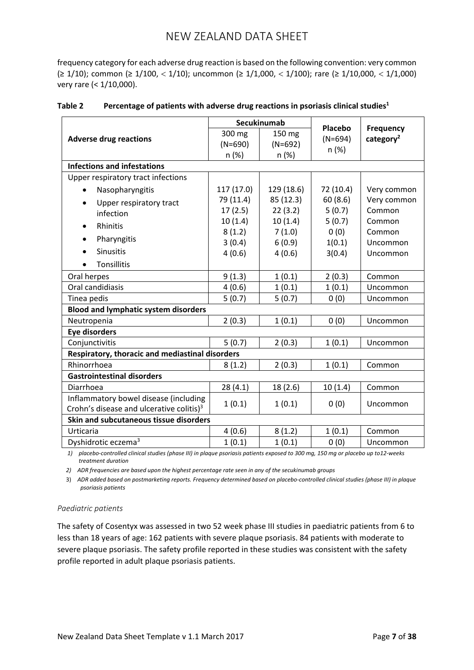frequency category for each adverse drug reaction is based on the following convention: very common (≥ 1/10); common (≥ 1/100, < 1/10); uncommon (≥ 1/1,000, < 1/100); rare (≥ 1/10,000, < 1/1,000) very rare (< 1/10,000).

|                                                      |            | Secukinumab | Placebo   |                                           |
|------------------------------------------------------|------------|-------------|-----------|-------------------------------------------|
| <b>Adverse drug reactions</b>                        | 300 mg     | 150 mg      | $(N=694)$ | <b>Frequency</b><br>category <sup>2</sup> |
|                                                      | $(N=690)$  | $(N=692)$   |           |                                           |
|                                                      | n (%)      | n (%)       | n (%)     |                                           |
| <b>Infections and infestations</b>                   |            |             |           |                                           |
| Upper respiratory tract infections                   |            |             |           |                                           |
| Nasopharyngitis<br>$\bullet$                         | 117 (17.0) | 129 (18.6)  | 72 (10.4) | Very common                               |
| Upper respiratory tract<br>$\bullet$                 | 79 (11.4)  | 85 (12.3)   | 60(8.6)   | Very common                               |
| infection                                            | 17(2.5)    | 22(3.2)     | 5(0.7)    | Common                                    |
| Rhinitis<br>$\bullet$                                | 10(1.4)    | 10(1.4)     | 5(0.7)    | Common                                    |
|                                                      | 8(1.2)     | 7(1.0)      | 0(0)      | Common                                    |
| Pharyngitis<br>$\bullet$                             | 3(0.4)     | 6(0.9)      | 1(0.1)    | Uncommon                                  |
| <b>Sinusitis</b><br>$\bullet$                        | 4(0.6)     | 4(0.6)      | 3(0.4)    | Uncommon                                  |
| <b>Tonsillitis</b>                                   |            |             |           |                                           |
| Oral herpes                                          | 9(1.3)     | 1(0.1)      | 2(0.3)    | Common                                    |
| Oral candidiasis                                     | 4(0.6)     | 1(0.1)      | 1(0.1)    | Uncommon                                  |
| Tinea pedis                                          | 5(0.7)     | 5(0.7)      | 0(0)      | Uncommon                                  |
| <b>Blood and lymphatic system disorders</b>          |            |             |           |                                           |
| Neutropenia                                          | 2(0.3)     | 1(0.1)      | 0(0)      | Uncommon                                  |
| <b>Eye disorders</b>                                 |            |             |           |                                           |
| Conjunctivitis                                       | 5(0.7)     | 2(0.3)      | 1(0.1)    | Uncommon                                  |
| Respiratory, thoracic and mediastinal disorders      |            |             |           |                                           |
| Rhinorrhoea                                          | 8(1.2)     | 2(0.3)      | 1(0.1)    | Common                                    |
| <b>Gastrointestinal disorders</b>                    |            |             |           |                                           |
| Diarrhoea                                            | 28(4.1)    | 18 (2.6)    | 10(1.4)   | Common                                    |
| Inflammatory bowel disease (including                | 1(0.1)     | 1(0.1)      | 0(0)      | Uncommon                                  |
| Crohn's disease and ulcerative colitis) <sup>3</sup> |            |             |           |                                           |
| Skin and subcutaneous tissue disorders               |            |             |           |                                           |
| Urticaria                                            | 4(0.6)     | 8(1.2)      | 1(0.1)    | Common                                    |
| Dyshidrotic eczema <sup>3</sup>                      | 1(0.1)     | 1(0.1)      | 0(0)      | Uncommon                                  |

## **Table 2** Percentage of patients with adverse drug reactions in psoriasis clinical studies<sup>1</sup>

*1) placebo-controlled clinical studies (phase III) in plaque psoriasis patients exposed to 300 mg, 150 mg or placebo up to12-weeks treatment duration* 

*2) ADR frequencies are based upon the highest percentage rate seen in any of the secukinumab groups*

3) *ADR added based on postmarketing reports. Frequency determined based on placebo-controlled clinical studies (phase III) in plaque psoriasis patients*

### *Paediatric patients*

The safety of Cosentyx was assessed in two 52 week phase III studies in paediatric patients from 6 to less than 18 years of age: 162 patients with severe plaque psoriasis. 84 patients with moderate to severe plaque psoriasis. The safety profile reported in these studies was consistent with the safety profile reported in adult plaque psoriasis patients.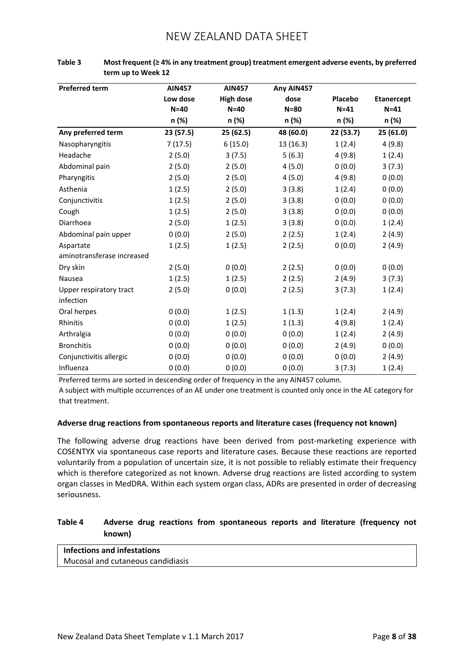| <b>Preferred term</b>      | <b>AIN457</b> | <b>AIN457</b>    | Any AIN457 |           |                   |
|----------------------------|---------------|------------------|------------|-----------|-------------------|
|                            | Low dose      | <b>High dose</b> | dose       | Placebo   | <b>Etanercept</b> |
|                            | $N = 40$      | $N = 40$         | $N = 80$   | $N=41$    | $N = 41$          |
|                            | n (%)         | n (%)            | n (%)      | n (%)     | n (%)             |
| Any preferred term         | 23 (57.5)     | 25 (62.5)        | 48 (60.0)  | 22 (53.7) | 25(61.0)          |
| Nasopharyngitis            | 7(17.5)       | 6(15.0)          | 13(16.3)   | 1(2.4)    | 4(9.8)            |
| Headache                   | 2(5.0)        | 3(7.5)           | 5(6.3)     | 4(9.8)    | 1(2.4)            |
| Abdominal pain             | 2(5.0)        | 2(5.0)           | 4(5.0)     | 0(0.0)    | 3(7.3)            |
| Pharyngitis                | 2(5.0)        | 2(5.0)           | 4(5.0)     | 4(9.8)    | 0(0.0)            |
| Asthenia                   | 1(2.5)        | 2(5.0)           | 3(3.8)     | 1(2.4)    | 0(0.0)            |
| Conjunctivitis             | 1(2.5)        | 2(5.0)           | 3(3.8)     | 0(0.0)    | 0(0.0)            |
| Cough                      | 1(2.5)        | 2(5.0)           | 3(3.8)     | 0(0.0)    | 0(0.0)            |
| Diarrhoea                  | 2(5.0)        | 1(2.5)           | 3(3.8)     | 0(0.0)    | 1(2.4)            |
| Abdominal pain upper       | 0(0.0)        | 2(5.0)           | 2(2.5)     | 1(2.4)    | 2(4.9)            |
| Aspartate                  | 1(2.5)        | 1(2.5)           | 2(2.5)     | 0(0.0)    | 2(4.9)            |
| aminotransferase increased |               |                  |            |           |                   |
| Dry skin                   | 2(5.0)        | 0(0.0)           | 2(2.5)     | 0(0.0)    | 0(0.0)            |
| Nausea                     | 1(2.5)        | 1(2.5)           | 2(2.5)     | 2(4.9)    | 3(7.3)            |
| Upper respiratory tract    | 2(5.0)        | 0(0.0)           | 2(2.5)     | 3(7.3)    | 1(2.4)            |
| infection                  |               |                  |            |           |                   |
| Oral herpes                | 0(0.0)        | 1(2.5)           | 1(1.3)     | 1(2.4)    | 2(4.9)            |
| Rhinitis                   | 0(0.0)        | 1(2.5)           | 1(1.3)     | 4(9.8)    | 1(2.4)            |
| Arthralgia                 | 0(0.0)        | 0(0.0)           | 0(0.0)     | 1(2.4)    | 2(4.9)            |
| <b>Bronchitis</b>          | 0(0.0)        | 0(0.0)           | 0(0.0)     | 2(4.9)    | 0(0.0)            |
| Conjunctivitis allergic    | 0(0.0)        | 0(0.0)           | 0(0.0)     | 0(0.0)    | 2(4.9)            |
| Influenza                  | 0(0.0)        | 0(0.0)           | 0(0.0)     | 3(7.3)    | 1(2.4)            |

| Table 3 | Most frequent ( $\geq 4\%$ in any treatment group) treatment emergent adverse events, by preferred |
|---------|----------------------------------------------------------------------------------------------------|
|         | term up to Week 12                                                                                 |

Preferred terms are sorted in descending order of frequency in the any AIN457 column.

A subject with multiple occurrences of an AE under one treatment is counted only once in the AE category for that treatment.

### **Adverse drug reactions from spontaneous reports and literature cases (frequency not known)**

The following adverse drug reactions have been derived from post-marketing experience with COSENTYX via spontaneous case reports and literature cases. Because these reactions are reported voluntarily from a population of uncertain size, it is not possible to reliably estimate their frequency which is therefore categorized as not known. Adverse drug reactions are listed according to system organ classes in MedDRA. Within each system organ class, ADRs are presented in order of decreasing seriousness.

## **Table 4 Adverse drug reactions from spontaneous reports and literature (frequency not known)**

# **Infections and infestations**

Mucosal and cutaneous candidiasis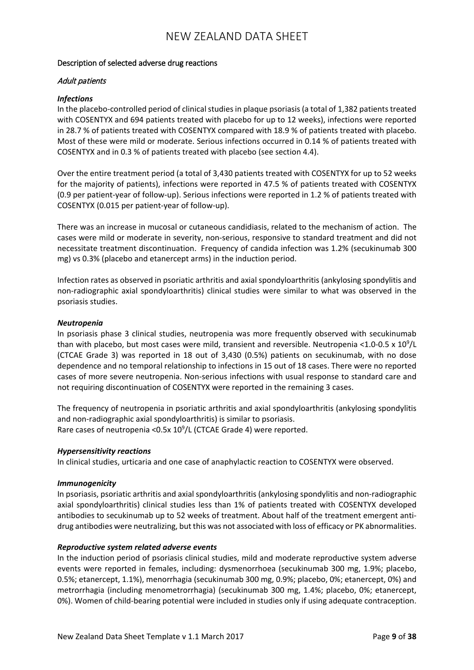### Description of selected adverse drug reactions

### Adult patients

### *Infections*

In the placebo-controlled period of clinical studies in plaque psoriasis (a total of 1,382 patients treated with COSENTYX and 694 patients treated with placebo for up to 12 weeks), infections were reported in 28.7 % of patients treated with COSENTYX compared with 18.9 % of patients treated with placebo. Most of these were mild or moderate. Serious infections occurred in 0.14 % of patients treated with COSENTYX and in 0.3 % of patients treated with placebo (see section 4.4).

Over the entire treatment period (a total of 3,430 patients treated with COSENTYX for up to 52 weeks for the majority of patients), infections were reported in 47.5 % of patients treated with COSENTYX (0.9 per patient-year of follow-up). Serious infections were reported in 1.2 % of patients treated with COSENTYX (0.015 per patient-year of follow-up).

There was an increase in mucosal or cutaneous candidiasis, related to the mechanism of action. The cases were mild or moderate in severity, non-serious, responsive to standard treatment and did not necessitate treatment discontinuation. Frequency of candida infection was 1.2% (secukinumab 300 mg) vs 0.3% (placebo and etanercept arms) in the induction period.

Infection rates as observed in psoriatic arthritis and axial spondyloarthritis (ankylosing spondylitis and non-radiographic axial spondyloarthritis) clinical studies were similar to what was observed in the psoriasis studies.

### *Neutropenia*

In psoriasis phase 3 clinical studies, neutropenia was more frequently observed with secukinumab than with placebo, but most cases were mild, transient and reversible. Neutropenia <1.0-0.5 x  $10^9$ /L (CTCAE Grade 3) was reported in 18 out of 3,430 (0.5%) patients on secukinumab, with no dose dependence and no temporal relationship to infections in 15 out of 18 cases. There were no reported cases of more severe neutropenia. Non-serious infections with usual response to standard care and not requiring discontinuation of COSENTYX were reported in the remaining 3 cases.

The frequency of neutropenia in psoriatic arthritis and axial spondyloarthritis (ankylosing spondylitis and non-radiographic axial spondyloarthritis) is similar to psoriasis. Rare cases of neutropenia < 0.5x 10<sup>9</sup>/L (CTCAE Grade 4) were reported.

### *Hypersensitivity reactions*

In clinical studies, urticaria and one case of anaphylactic reaction to COSENTYX were observed.

#### *Immunogenicity*

In psoriasis, psoriatic arthritis and axial spondyloarthritis (ankylosing spondylitis and non-radiographic axial spondyloarthritis) clinical studies less than 1% of patients treated with COSENTYX developed antibodies to secukinumab up to 52 weeks of treatment. About half of the treatment emergent antidrug antibodies were neutralizing, but this was not associated with loss of efficacy or PK abnormalities.

#### *Reproductive system related adverse events*

In the induction period of psoriasis clinical studies, mild and moderate reproductive system adverse events were reported in females, including: dysmenorrhoea (secukinumab 300 mg, 1.9%; placebo, 0.5%; etanercept, 1.1%), menorrhagia (secukinumab 300 mg, 0.9%; placebo, 0%; etanercept, 0%) and metrorrhagia (including menometrorrhagia) (secukinumab 300 mg, 1.4%; placebo, 0%; etanercept, 0%). Women of child-bearing potential were included in studies only if using adequate contraception.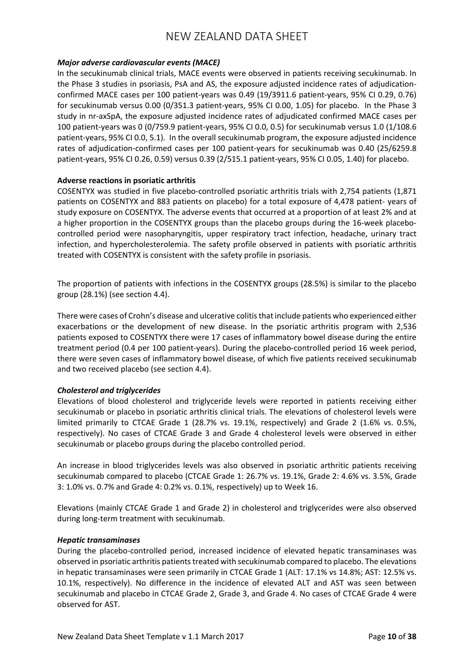### *Major adverse cardiovascular events (MACE)*

In the secukinumab clinical trials, MACE events were observed in patients receiving secukinumab. In the Phase 3 studies in psoriasis, PsA and AS, the exposure adjusted incidence rates of adjudicationconfirmed MACE cases per 100 patient-years was 0.49 (19/3911.6 patient-years, 95% CI 0.29, 0.76) for secukinumab versus 0.00 (0/351.3 patient-years, 95% CI 0.00, 1.05) for placebo. In the Phase 3 study in nr-axSpA, the exposure adjusted incidence rates of adjudicated confirmed MACE cases per 100 patient-years was 0 (0/759.9 patient-years, 95% CI 0.0, 0.5) for secukinumab versus 1.0 (1/108.6 patient-years, 95% CI 0.0, 5.1). In the overall secukinumab program, the exposure adjusted incidence rates of adjudication-confirmed cases per 100 patient-years for secukinumab was 0.40 (25/6259.8 patient-years, 95% CI 0.26, 0.59) versus 0.39 (2/515.1 patient-years, 95% CI 0.05, 1.40) for placebo.

### **Adverse reactions in psoriatic arthritis**

COSENTYX was studied in five placebo-controlled psoriatic arthritis trials with 2,754 patients (1,871 patients on COSENTYX and 883 patients on placebo) for a total exposure of 4,478 patient- years of study exposure on COSENTYX. The adverse events that occurred at a proportion of at least 2% and at a higher proportion in the COSENTYX groups than the placebo groups during the 16-week placebocontrolled period were nasopharyngitis, upper respiratory tract infection, headache, urinary tract infection, and hypercholesterolemia. The safety profile observed in patients with psoriatic arthritis treated with COSENTYX is consistent with the safety profile in psoriasis.

The proportion of patients with infections in the COSENTYX groups (28.5%) is similar to the placebo group (28.1%) (see section 4.4).

There were cases of Crohn's disease and ulcerative colitis that include patients who experienced either exacerbations or the development of new disease. In the psoriatic arthritis program with 2,536 patients exposed to COSENTYX there were 17 cases of inflammatory bowel disease during the entire treatment period (0.4 per 100 patient-years). During the placebo-controlled period 16 week period, there were seven cases of inflammatory bowel disease, of which five patients received secukinumab and two received placebo (see section 4.4).

### *Cholesterol and triglycerides*

Elevations of blood cholesterol and triglyceride levels were reported in patients receiving either secukinumab or placebo in psoriatic arthritis clinical trials. The elevations of cholesterol levels were limited primarily to CTCAE Grade 1 (28.7% vs. 19.1%, respectively) and Grade 2 (1.6% vs. 0.5%, respectively). No cases of CTCAE Grade 3 and Grade 4 cholesterol levels were observed in either secukinumab or placebo groups during the placebo controlled period.

An increase in blood triglycerides levels was also observed in psoriatic arthritic patients receiving secukinumab compared to placebo (CTCAE Grade 1: 26.7% vs. 19.1%, Grade 2: 4.6% vs. 3.5%, Grade 3: 1.0% vs. 0.7% and Grade 4: 0.2% vs. 0.1%, respectively) up to Week 16.

Elevations (mainly CTCAE Grade 1 and Grade 2) in cholesterol and triglycerides were also observed during long-term treatment with secukinumab.

### *Hepatic transaminases*

During the placebo-controlled period, increased incidence of elevated hepatic transaminases was observed in psoriatic arthritis patients treated with secukinumab compared to placebo. The elevations in hepatic transaminases were seen primarily in CTCAE Grade 1 (ALT: 17.1% vs 14.8%; AST: 12.5% vs. 10.1%, respectively). No difference in the incidence of elevated ALT and AST was seen between secukinumab and placebo in CTCAE Grade 2, Grade 3, and Grade 4. No cases of CTCAE Grade 4 were observed for AST.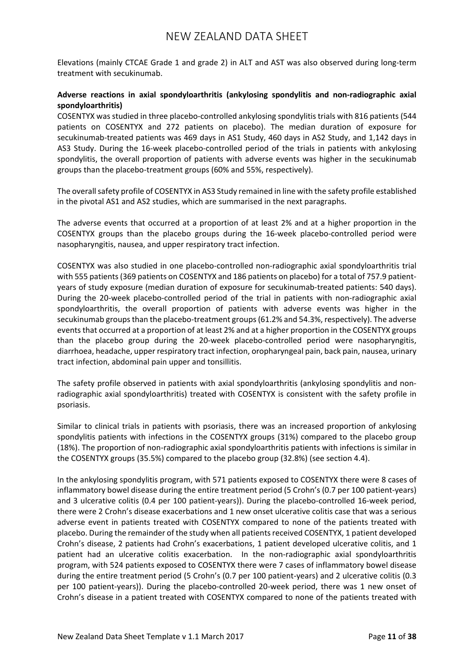Elevations (mainly CTCAE Grade 1 and grade 2) in ALT and AST was also observed during long-term treatment with secukinumab.

### **Adverse reactions in axial spondyloarthritis (ankylosing spondylitis and non-radiographic axial spondyloarthritis)**

COSENTYX was studied in three placebo-controlled ankylosing spondylitis trials with 816 patients (544 patients on COSENTYX and 272 patients on placebo). The median duration of exposure for secukinumab-treated patients was 469 days in AS1 Study, 460 days in AS2 Study, and 1,142 days in AS3 Study. During the 16-week placebo-controlled period of the trials in patients with ankylosing spondylitis, the overall proportion of patients with adverse events was higher in the secukinumab groups than the placebo-treatment groups (60% and 55%, respectively).

The overall safety profile of COSENTYX in AS3 Study remained in line with the safety profile established in the pivotal AS1 and AS2 studies, which are summarised in the next paragraphs.

The adverse events that occurred at a proportion of at least 2% and at a higher proportion in the COSENTYX groups than the placebo groups during the 16-week placebo-controlled period were nasopharyngitis, nausea, and upper respiratory tract infection.

COSENTYX was also studied in one placebo-controlled non-radiographic axial spondyloarthritis trial with 555 patients (369 patients on COSENTYX and 186 patients on placebo) for a total of 757.9 patientyears of study exposure (median duration of exposure for secukinumab-treated patients: 540 days). During the 20-week placebo-controlled period of the trial in patients with non-radiographic axial spondyloarthritis, the overall proportion of patients with adverse events was higher in the secukinumab groups than the placebo-treatment groups (61.2% and 54.3%, respectively). The adverse events that occurred at a proportion of at least 2% and at a higher proportion in the COSENTYX groups than the placebo group during the 20-week placebo-controlled period were nasopharyngitis, diarrhoea, headache, upper respiratory tract infection, oropharyngeal pain, back pain, nausea, urinary tract infection, abdominal pain upper and tonsillitis.

The safety profile observed in patients with axial spondyloarthritis (ankylosing spondylitis and nonradiographic axial spondyloarthritis) treated with COSENTYX is consistent with the safety profile in psoriasis.

Similar to clinical trials in patients with psoriasis, there was an increased proportion of ankylosing spondylitis patients with infections in the COSENTYX groups (31%) compared to the placebo group (18%). The proportion of non-radiographic axial spondyloarthritis patients with infections is similar in the COSENTYX groups (35.5%) compared to the placebo group (32.8%) (see section 4.4).

In the ankylosing spondylitis program, with 571 patients exposed to COSENTYX there were 8 cases of inflammatory bowel disease during the entire treatment period (5 Crohn's (0.7 per 100 patient-years) and 3 ulcerative colitis (0.4 per 100 patient-years)). During the placebo-controlled 16-week period, there were 2 Crohn's disease exacerbations and 1 new onset ulcerative colitis case that was a serious adverse event in patients treated with COSENTYX compared to none of the patients treated with placebo. During the remainder of the study when all patients received COSENTYX, 1 patient developed Crohn's disease, 2 patients had Crohn's exacerbations, 1 patient developed ulcerative colitis, and 1 patient had an ulcerative colitis exacerbation. In the non-radiographic axial spondyloarthritis program, with 524 patients exposed to COSENTYX there were 7 cases of inflammatory bowel disease during the entire treatment period (5 Crohn's (0.7 per 100 patient-years) and 2 ulcerative colitis (0.3 per 100 patient-years)). During the placebo-controlled 20-week period, there was 1 new onset of Crohn's disease in a patient treated with COSENTYX compared to none of the patients treated with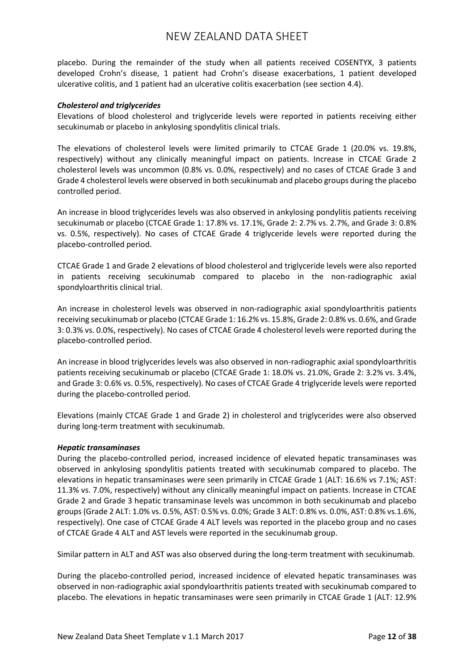placebo. During the remainder of the study when all patients received COSENTYX, 3 patients developed Crohn's disease, 1 patient had Crohn's disease exacerbations, 1 patient developed ulcerative colitis, and 1 patient had an ulcerative colitis exacerbation (see section 4.4).

### *Cholesterol and triglycerides*

Elevations of blood cholesterol and triglyceride levels were reported in patients receiving either secukinumab or placebo in ankylosing spondylitis clinical trials.

The elevations of cholesterol levels were limited primarily to CTCAE Grade 1 (20.0% vs. 19.8%, respectively) without any clinically meaningful impact on patients. Increase in CTCAE Grade 2 cholesterol levels was uncommon (0.8% vs. 0.0%, respectively) and no cases of CTCAE Grade 3 and Grade 4 cholesterol levels were observed in both secukinumab and placebo groups during the placebo controlled period.

An increase in blood triglycerides levels was also observed in ankylosing pondylitis patients receiving secukinumab or placebo (CTCAE Grade 1: 17.8% vs. 17.1%, Grade 2: 2.7% vs. 2.7%, and Grade 3: 0.8% vs. 0.5%, respectively). No cases of CTCAE Grade 4 triglyceride levels were reported during the placebo-controlled period.

CTCAE Grade 1 and Grade 2 elevations of blood cholesterol and triglyceride levels were also reported in patients receiving secukinumab compared to placebo in the non-radiographic axial spondyloarthritis clinical trial.

An increase in cholesterol levels was observed in non-radiographic axial spondyloarthritis patients receiving secukinumab or placebo (CTCAE Grade 1: 16.2% vs. 15.8%, Grade 2: 0.8% vs. 0.6%, and Grade 3: 0.3% vs. 0.0%, respectively). No cases of CTCAE Grade 4 cholesterol levels were reported during the placebo-controlled period.

An increase in blood triglycerides levels was also observed in non-radiographic axial spondyloarthritis patients receiving secukinumab or placebo (CTCAE Grade 1: 18.0% vs. 21.0%, Grade 2: 3.2% vs. 3.4%, and Grade 3: 0.6% vs. 0.5%, respectively). No cases of CTCAE Grade 4 triglyceride levels were reported during the placebo-controlled period.

Elevations (mainly CTCAE Grade 1 and Grade 2) in cholesterol and triglycerides were also observed during long-term treatment with secukinumab.

### *Hepatic transaminases*

During the placebo-controlled period, increased incidence of elevated hepatic transaminases was observed in ankylosing spondylitis patients treated with secukinumab compared to placebo. The elevations in hepatic transaminases were seen primarily in CTCAE Grade 1 (ALT: 16.6% vs 7.1%; AST: 11.3% vs. 7.0%, respectively) without any clinically meaningful impact on patients. Increase in CTCAE Grade 2 and Grade 3 hepatic transaminase levels was uncommon in both secukinumab and placebo groups (Grade 2 ALT: 1.0% vs. 0.5%, AST: 0.5% vs. 0.0%; Grade 3 ALT: 0.8% vs. 0.0%, AST: 0.8% vs.1.6%, respectively). One case of CTCAE Grade 4 ALT levels was reported in the placebo group and no cases of CTCAE Grade 4 ALT and AST levels were reported in the secukinumab group.

Similar pattern in ALT and AST was also observed during the long-term treatment with secukinumab.

During the placebo-controlled period, increased incidence of elevated hepatic transaminases was observed in non-radiographic axial spondyloarthritis patients treated with secukinumab compared to placebo. The elevations in hepatic transaminases were seen primarily in CTCAE Grade 1 (ALT: 12.9%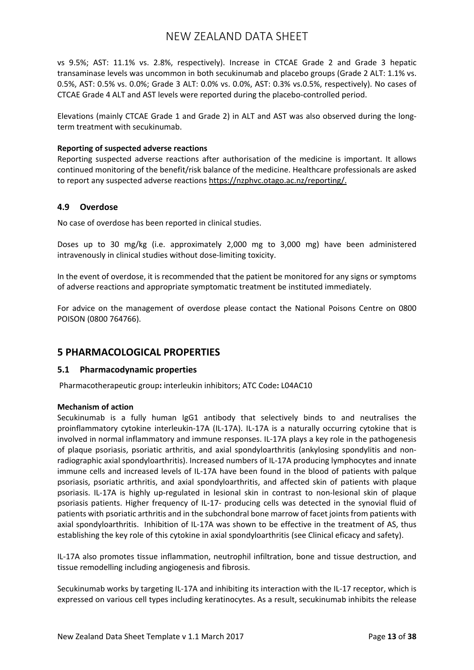vs 9.5%; AST: 11.1% vs. 2.8%, respectively). Increase in CTCAE Grade 2 and Grade 3 hepatic transaminase levels was uncommon in both secukinumab and placebo groups (Grade 2 ALT: 1.1% vs. 0.5%, AST: 0.5% vs. 0.0%; Grade 3 ALT: 0.0% vs. 0.0%, AST: 0.3% vs.0.5%, respectively). No cases of CTCAE Grade 4 ALT and AST levels were reported during the placebo-controlled period.

Elevations (mainly CTCAE Grade 1 and Grade 2) in ALT and AST was also observed during the longterm treatment with secukinumab.

### **Reporting of suspected adverse reactions**

Reporting suspected adverse reactions after authorisation of the medicine is important. It allows continued monitoring of the benefit/risk balance of the medicine. Healthcare professionals are asked to report any suspected adverse reactions [https://nzphvc.otago.ac.nz/reporting/.](https://nzphvc.otago.ac.nz/reporting/)

### **4.9 Overdose**

No case of overdose has been reported in clinical studies.

Doses up to 30 mg/kg (i.e. approximately 2,000 mg to 3,000 mg) have been administered intravenously in clinical studies without dose-limiting toxicity.

In the event of overdose, it is recommended that the patient be monitored for any signs or symptoms of adverse reactions and appropriate symptomatic treatment be instituted immediately.

For advice on the management of overdose please contact the National Poisons Centre on 0800 POISON (0800 764766).

## **5 PHARMACOLOGICAL PROPERTIES**

### **5.1 Pharmacodynamic properties**

Pharmacotherapeutic group**:** interleukin inhibitors; ATC Code**:** L04AC10

### **Mechanism of action**

Secukinumab is a fully human IgG1 antibody that selectively binds to and neutralises the proinflammatory cytokine interleukin-17A (IL-17A). IL-17A is a naturally occurring cytokine that is involved in normal inflammatory and immune responses. IL-17A plays a key role in the pathogenesis of plaque psoriasis, psoriatic arthritis, and axial spondyloarthritis (ankylosing spondylitis and nonradiographic axial spondyloarthritis). Increased numbers of IL-17A producing lymphocytes and innate immune cells and increased levels of IL-17A have been found in the blood of patients with palque psoriasis, psoriatic arthritis, and axial spondyloarthritis, and affected skin of patients with plaque psoriasis. IL-17A is highly up-regulated in lesional skin in contrast to non-lesional skin of plaque psoriasis patients. Higher frequency of IL-17- producing cells was detected in the synovial fluid of patients with psoriatic arthritis and in the subchondral bone marrow of facet joints from patients with axial spondyloarthritis. Inhibition of IL-17A was shown to be effective in the treatment of AS, thus establishing the key role of this cytokine in axial spondyloarthritis (see Clinical eficacy and safety).

IL-17A also promotes tissue inflammation, neutrophil infiltration, bone and tissue destruction, and tissue remodelling including angiogenesis and fibrosis.

Secukinumab works by targeting IL-17A and inhibiting its interaction with the IL-17 receptor, which is expressed on various cell types including keratinocytes. As a result, secukinumab inhibits the release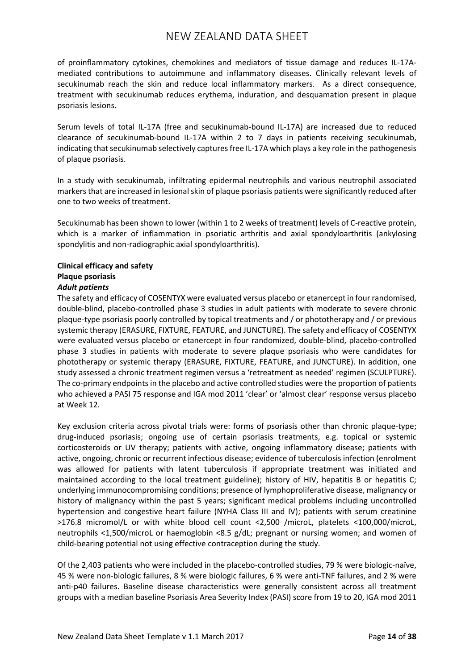of proinflammatory cytokines, chemokines and mediators of tissue damage and reduces IL-17Amediated contributions to autoimmune and inflammatory diseases. Clinically relevant levels of secukinumab reach the skin and reduce local inflammatory markers. As a direct consequence, treatment with secukinumab reduces erythema, induration, and desquamation present in plaque psoriasis lesions.

Serum levels of total IL-17A (free and secukinumab-bound IL-17A) are increased due to reduced clearance of secukinumab-bound IL-17A within 2 to 7 days in patients receiving secukinumab, indicating that secukinumab selectively captures free IL-17A which plays a key role in the pathogenesis of plaque psoriasis.

In a study with secukinumab, infiltrating epidermal neutrophils and various neutrophil associated markers that are increased in lesional skin of plaque psoriasis patients were significantly reduced after one to two weeks of treatment.

Secukinumab has been shown to lower (within 1 to 2 weeks of treatment) levels of C-reactive protein, which is a marker of inflammation in psoriatic arthritis and axial spondyloarthritis (ankylosing spondylitis and non-radiographic axial spondyloarthritis).

### **Clinical efficacy and safety Plaque psoriasis** *Adult patients*

The safety and efficacy of COSENTYX were evaluated versus placebo or etanercept in four randomised, double-blind, placebo-controlled phase 3 studies in adult patients with moderate to severe chronic plaque-type psoriasis poorly controlled by topical treatments and / or phototherapy and / or previous systemic therapy (ERASURE, FIXTURE, FEATURE, and JUNCTURE). The safety and efficacy of COSENTYX were evaluated versus placebo or etanercept in four randomized, double-blind, placebo-controlled phase 3 studies in patients with moderate to severe plaque psoriasis who were candidates for phototherapy or systemic therapy (ERASURE, FIXTURE, FEATURE, and JUNCTURE). In addition, one study assessed a chronic treatment regimen versus a 'retreatment as needed' regimen (SCULPTURE). The co-primary endpoints in the placebo and active controlled studies were the proportion of patients who achieved a PASI 75 response and IGA mod 2011 'clear' or 'almost clear' response versus placebo at Week 12.

Key exclusion criteria across pivotal trials were: forms of psoriasis other than chronic plaque-type; drug-induced psoriasis; ongoing use of certain psoriasis treatments, e.g. topical or systemic corticosteroids or UV therapy; patients with active, ongoing inflammatory disease; patients with active, ongoing, chronic or recurrent infectious disease; evidence of tuberculosis infection (enrolment was allowed for patients with latent tuberculosis if appropriate treatment was initiated and maintained according to the local treatment guideline); history of HIV, hepatitis B or hepatitis C; underlying immunocompromising conditions; presence of lymphoproliferative disease, malignancy or history of malignancy within the past 5 years; significant medical problems including uncontrolled hypertension and congestive heart failure (NYHA Class III and IV); patients with serum creatinine >176.8 micromol/L or with white blood cell count <2,500 /microL, platelets <100,000/microL, neutrophils <1,500/microL or haemoglobin <8.5 g/dL; pregnant or nursing women; and women of child-bearing potential not using effective contraception during the study.

Of the 2,403 patients who were included in the placebo-controlled studies, 79 % were biologic-naïve, 45 % were non-biologic failures, 8 % were biologic failures, 6 % were anti-TNF failures, and 2 % were anti-p40 failures. Baseline disease characteristics were generally consistent across all treatment groups with a median baseline Psoriasis Area Severity Index (PASI) score from 19 to 20, IGA mod 2011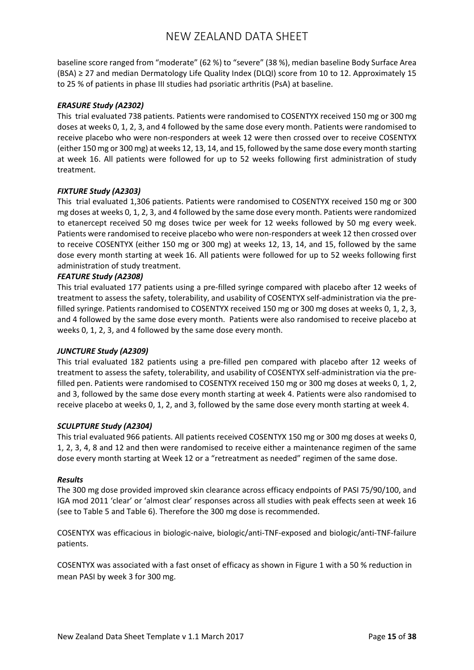baseline score ranged from "moderate" (62 %) to "severe" (38 %), median baseline Body Surface Area (BSA) ≥ 27 and median Dermatology Life Quality Index (DLQI) score from 10 to 12. Approximately 15 to 25 % of patients in phase III studies had psoriatic arthritis (PsA) at baseline.

### *ERASURE Study (A2302)*

This trial evaluated 738 patients. Patients were randomised to COSENTYX received 150 mg or 300 mg doses at weeks 0, 1, 2, 3, and 4 followed by the same dose every month. Patients were randomised to receive placebo who were non-responders at week 12 were then crossed over to receive COSENTYX (either 150 mg or 300 mg) at weeks 12, 13, 14, and 15, followed by the same dose every month starting at week 16. All patients were followed for up to 52 weeks following first administration of study treatment.

### *FIXTURE Study (A2303)*

This trial evaluated 1,306 patients. Patients were randomised to COSENTYX received 150 mg or 300 mg doses at weeks 0, 1, 2, 3, and 4 followed by the same dose every month. Patients were randomized to etanercept received 50 mg doses twice per week for 12 weeks followed by 50 mg every week. Patients were randomised to receive placebo who were non-responders at week 12 then crossed over to receive COSENTYX (either 150 mg or 300 mg) at weeks 12, 13, 14, and 15, followed by the same dose every month starting at week 16. All patients were followed for up to 52 weeks following first administration of study treatment.

### *FEATURE Study (A2308)*

This trial evaluated 177 patients using a pre-filled syringe compared with placebo after 12 weeks of treatment to assess the safety, tolerability, and usability of COSENTYX self-administration via the prefilled syringe. Patients randomised to COSENTYX received 150 mg or 300 mg doses at weeks 0, 1, 2, 3, and 4 followed by the same dose every month. Patients were also randomised to receive placebo at weeks 0, 1, 2, 3, and 4 followed by the same dose every month.

### *JUNCTURE Study (A2309)*

This trial evaluated 182 patients using a pre-filled pen compared with placebo after 12 weeks of treatment to assess the safety, tolerability, and usability of COSENTYX self-administration via the prefilled pen. Patients were randomised to COSENTYX received 150 mg or 300 mg doses at weeks 0, 1, 2, and 3, followed by the same dose every month starting at week 4. Patients were also randomised to receive placebo at weeks 0, 1, 2, and 3, followed by the same dose every month starting at week 4.

### *SCULPTURE Study (A2304)*

This trial evaluated 966 patients. All patients received COSENTYX 150 mg or 300 mg doses at weeks 0, 1, 2, 3, 4, 8 and 12 and then were randomised to receive either a maintenance regimen of the same dose every month starting at Week 12 or a "retreatment as needed" regimen of the same dose.

### *Results*

The 300 mg dose provided improved skin clearance across efficacy endpoints of PASI 75/90/100, and IGA mod 2011 'clear' or 'almost clear' responses across all studies with peak effects seen at week 16 (see to Table 5 and Table 6). Therefore the 300 mg dose is recommended.

COSENTYX was efficacious in biologic-naive, biologic/anti-TNF-exposed and biologic/anti-TNF-failure patients.

COSENTYX was associated with a fast onset of efficacy as shown in Figure 1 with a 50 % reduction in mean PASI by week 3 for 300 mg.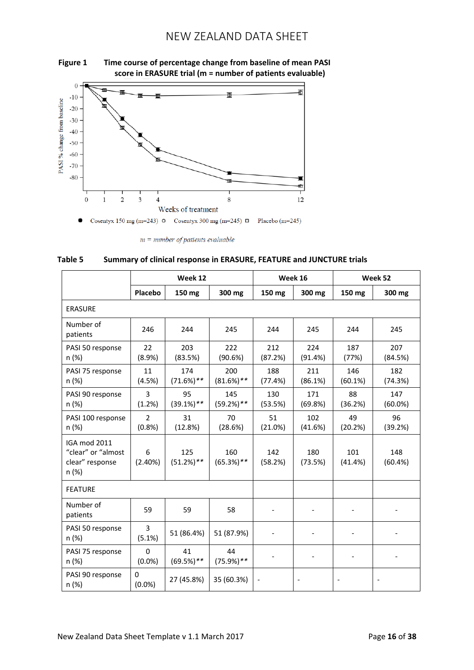

### **Figure 1 Time course of percentage change from baseline of mean PASI score in ERASURE trial (m = number of patients evaluable)**

 $m = number of patients evaluate$ 



|                                                                       |                           | Week 12             |                     |                | Week 16        | Week 52                  |                   |  |
|-----------------------------------------------------------------------|---------------------------|---------------------|---------------------|----------------|----------------|--------------------------|-------------------|--|
|                                                                       | Placebo                   | 150 mg              | 300 mg              | 150 mg         | 300 mg         | 150 mg                   | 300 mg            |  |
| <b>ERASURE</b>                                                        |                           |                     |                     |                |                |                          |                   |  |
| Number of<br>patients                                                 | 246                       | 244                 | 245                 | 244            | 245            | 244                      | 245               |  |
| PASI 50 response<br>n (%)                                             | 22<br>(8.9%)              | 203<br>(83.5%)      | 222<br>(90.6%)      | 212<br>(87.2%) | 224<br>(91.4%) | 187<br>(77%)             | 207<br>(84.5%)    |  |
| PASI 75 response<br>n (%)                                             | 11<br>(4.5%)              | 174<br>$(71.6%)$ ** | 200<br>$(81.6%)$ ** | 188<br>(77.4%) | 211<br>(86.1%) | 146<br>(60.1%)           | 182<br>(74.3%)    |  |
| PASI 90 response<br>n (%)                                             | 3<br>(1.2%)               | 95<br>$(39.1\%)$ ** | 145<br>$(59.2%)$ ** | 130<br>(53.5%) | 171<br>(69.8%) | 88<br>(36.2%)            | 147<br>$(60.0\%)$ |  |
| PASI 100 response<br>n (%)                                            | $\overline{2}$<br>(0.8% ) | 31<br>(12.8%)       | 70<br>(28.6%)       | 51<br>(21.0%)  | 102<br>(41.6%) | 49<br>(20.2%)            | 96<br>(39.2%)     |  |
| <b>IGA mod 2011</b><br>"clear" or "almost<br>clear" response<br>n (%) | 6<br>(2.40%)              | 125<br>$(51.2%)$ ** | 160<br>$(65.3%)$ ** | 142<br>(58.2%) | 180<br>(73.5%) | 101<br>(41.4%)           | 148<br>(60.4%)    |  |
| <b>FEATURE</b>                                                        |                           |                     |                     |                |                |                          |                   |  |
| Number of<br>patients                                                 | 59                        | 59                  | 58                  |                |                | $\overline{\phantom{a}}$ |                   |  |
| PASI 50 response<br>n (%)                                             | 3<br>(5.1%)               | 51 (86.4%)          | 51 (87.9%)          |                |                |                          |                   |  |
| PASI 75 response<br>n (%)                                             | 0<br>$(0.0\%)$            | 41<br>$(69.5%)$ **  | 44<br>$(75.9\%)$ ** |                |                |                          |                   |  |
| PASI 90 response<br>n (%)                                             | $\Omega$<br>$(0.0\%)$     | 27 (45.8%)          | 35 (60.3%)          |                |                |                          |                   |  |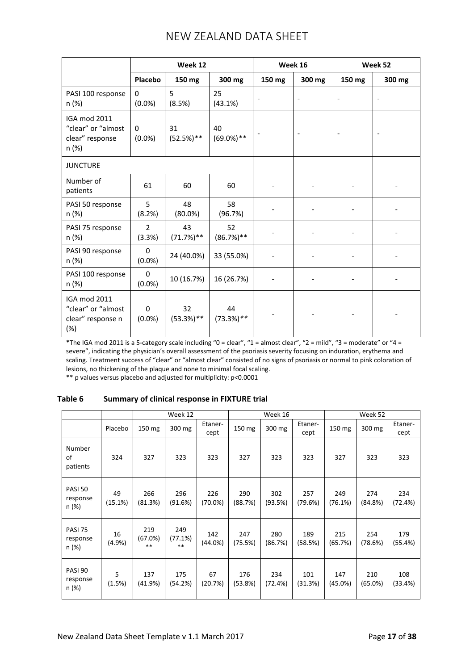|                                                                       | Week 12                  |                    |                     | Week 16                  |                          | Week 52                  |                          |
|-----------------------------------------------------------------------|--------------------------|--------------------|---------------------|--------------------------|--------------------------|--------------------------|--------------------------|
|                                                                       | Placebo                  | 150 mg             | 300 mg              | 150 mg                   | 300 mg                   | 150 mg                   | 300 mg                   |
| PASI 100 response<br>n (%)                                            | $\Omega$<br>$(0.0\%)$    | 5<br>(8.5%)        | 25<br>(43.1%)       | $\overline{\phantom{a}}$ | $\overline{\phantom{0}}$ | $\overline{\phantom{a}}$ | $\overline{\phantom{a}}$ |
| IGA mod 2011<br>"clear" or "almost<br>clear" response<br>n (%)        | 0<br>$(0.0\%)$           | 31<br>$(52.5%)$ ** | 40<br>$(69.0\%)$ ** |                          |                          |                          |                          |
| <b>JUNCTURE</b>                                                       |                          |                    |                     |                          |                          |                          |                          |
| Number of<br>patients                                                 | 61                       | 60                 | 60                  |                          |                          |                          |                          |
| PASI 50 response<br>n (%)                                             | 5<br>(8.2%)              | 48<br>$(80.0\%)$   | 58<br>(96.7%)       |                          |                          |                          |                          |
| PASI 75 response<br>n (%)                                             | $\overline{2}$<br>(3.3%) | 43<br>$(71.7%)$ ** | 52<br>$(86.7%)$ **  |                          |                          |                          |                          |
| PASI 90 response<br>n (%)                                             | 0<br>$(0.0\%)$           | 24 (40.0%)         | 33 (55.0%)          |                          |                          |                          |                          |
| PASI 100 response<br>n (%)                                            | 0<br>$(0.0\%)$           | 10 (16.7%)         | 16 (26.7%)          |                          | $\overline{\phantom{a}}$ |                          |                          |
| <b>IGA mod 2011</b><br>"clear" or "almost<br>clear" response n<br>(%) | 0<br>$(0.0\%)$           | 32<br>$(53.3%)$ ** | 44<br>$(73.3%)$ **  |                          |                          |                          |                          |

\*The IGA mod 2011 is a 5-category scale including "0 = clear", "1 = almost clear", "2 = mild", "3 = moderate" or "4 = severe", indicating the physician's overall assessment of the psoriasis severity focusing on induration, erythema and scaling. Treatment success of "clear" or "almost clear" consisted of no signs of psoriasis or normal to pink coloration of lesions, no thickening of the plaque and none to minimal focal scaling.

\*\* p values versus placebo and adjusted for multiplicity: p<0.0001

## **Table 6 Summary of clinical response in FIXTURE trial**

|                                     |               |                         | Week 12                 |                   |                | Week 16        |                 |                   | Week 52        |                 |
|-------------------------------------|---------------|-------------------------|-------------------------|-------------------|----------------|----------------|-----------------|-------------------|----------------|-----------------|
|                                     | Placebo       | 150 mg                  | 300 mg                  | Etaner-<br>cept   | 150 mg         | 300 mg         | Etaner-<br>cept | 150 mg            | 300 mg         | Etaner-<br>cept |
| Number<br>of<br>patients            | 324           | 327                     | 323                     | 323               | 327            | 323            | 323             | 327               | 323            | 323             |
| <b>PASI 50</b><br>response<br>n (%) | 49<br>(15.1%) | 266<br>(81.3%)          | 296<br>(91.6%)          | 226<br>$(70.0\%)$ | 290<br>(88.7%) | 302<br>(93.5%) | 257<br>(79.6%)  | 249<br>(76.1%)    | 274<br>(84.8%) | 234<br>(72.4%)  |
| PASI 75<br>response<br>n (%)        | 16<br>(4.9%   | 219<br>(67.0%)<br>$* *$ | 249<br>(77.1%)<br>$* *$ | 142<br>(44.0%)    | 247<br>(75.5%) | 280<br>(86.7%) | 189<br>(58.5%)  | 215<br>(65.7%)    | 254<br>(78.6%) | 179<br>(55.4%)  |
| PASI 90<br>response<br>n (%)        | 5<br>(1.5%)   | 137<br>(41.9%)          | 175<br>(54.2%)          | 67<br>(20.7%)     | 176<br>(53.8%) | 234<br>(72.4%) | 101<br>(31.3%)  | 147<br>$(45.0\%)$ | 210<br>(65.0%) | 108<br>(33.4%)  |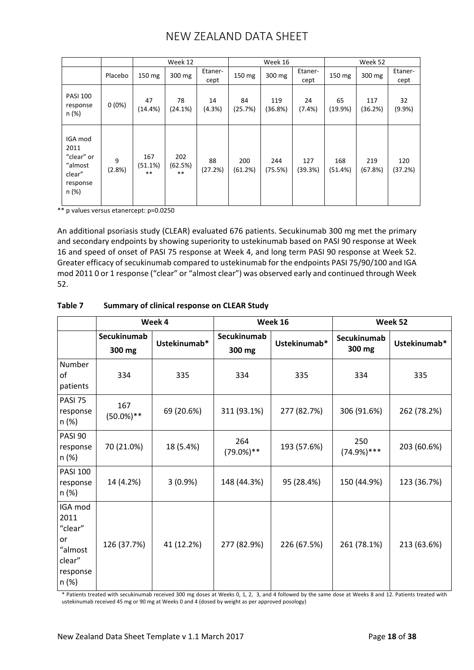|                                                                         |             |                         | Week 12                 |                 |                | Week 16        |                 |                | Week 52        |                 |
|-------------------------------------------------------------------------|-------------|-------------------------|-------------------------|-----------------|----------------|----------------|-----------------|----------------|----------------|-----------------|
|                                                                         | Placebo     | 150 mg                  | 300 mg                  | Etaner-<br>cept | 150 mg         | 300 mg         | Etaner-<br>cept | 150 mg         | 300 mg         | Etaner-<br>cept |
| <b>PASI 100</b><br>response<br>n (%)                                    | $0(0\%)$    | 47<br>(14.4%)           | 78<br>(24.1%)           | 14<br>(4.3%)    | 84<br>(25.7%)  | 119<br>(36.8%) | 24<br>(7.4%     | 65<br>(19.9%)  | 117<br>(36.2%) | 32<br>(9.9%)    |
| IGA mod<br>2011<br>"clear" or<br>"almost<br>clear"<br>response<br>n (%) | 9<br>(2.8%) | 167<br>(51.1%)<br>$***$ | 202<br>(62.5%)<br>$***$ | 88<br>(27.2%)   | 200<br>(61.2%) | 244<br>(75.5%) | 127<br>(39.3%)  | 168<br>(51.4%) | 219<br>(67.8%) | 120<br>(37.2%)  |

\*\* p values versus etanercept: p=0.0250

An additional psoriasis study (CLEAR) evaluated 676 patients. Secukinumab 300 mg met the primary and secondary endpoints by showing superiority to ustekinumab based on PASI 90 response at Week 16 and speed of onset of PASI 75 response at Week 4, and long term PASI 90 response at Week 52. Greater efficacy of secukinumab compared to ustekinumab for the endpoints PASI 75/90/100 and IGA mod 2011 0 or 1 response ("clear" or "almost clear") was observed early and continued through Week 52.

|                                                                            |                       | Week 4       |                       | Week 16      | Week 52               |              |
|----------------------------------------------------------------------------|-----------------------|--------------|-----------------------|--------------|-----------------------|--------------|
|                                                                            | Secukinumab<br>300 mg | Ustekinumab* | Secukinumab<br>300 mg | Ustekinumab* | Secukinumab<br>300 mg | Ustekinumab* |
| Number<br>of<br>patients                                                   | 334                   | 335          | 334                   | 335          | 334                   | 335          |
| PASI 75<br>response<br>n (%)                                               | 167<br>$(50.0\%)$ **  | 69 (20.6%)   | 311 (93.1%)           | 277 (82.7%)  | 306 (91.6%)           | 262 (78.2%)  |
| PASI 90<br>response<br>n (%)                                               | 70 (21.0%)            | 18 (5.4%)    | 264<br>$(79.0\%)$ **  | 193 (57.6%)  | 250<br>$(74.9\%)***$  | 203 (60.6%)  |
| <b>PASI 100</b><br>response<br>n (%)                                       | 14 (4.2%)             | $3(0.9\%)$   | 148 (44.3%)           | 95 (28.4%)   | 150 (44.9%)           | 123 (36.7%)  |
| IGA mod<br>2011<br>"clear"<br>or<br>"almost<br>clear"<br>response<br>n (%) | 126 (37.7%)           | 41 (12.2%)   | 277 (82.9%)           | 226 (67.5%)  | 261 (78.1%)           | 213 (63.6%)  |

### **Table 7 Summary of clinical response on CLEAR Study**

\* Patients treated with secukinumab received 300 mg doses at Weeks 0, 1, 2, 3, and 4 followed by the same dose at Weeks 8 and 12. Patients treated with ustekinumab received 45 mg or 90 mg at Weeks 0 and 4 (dosed by weight as per approved posology)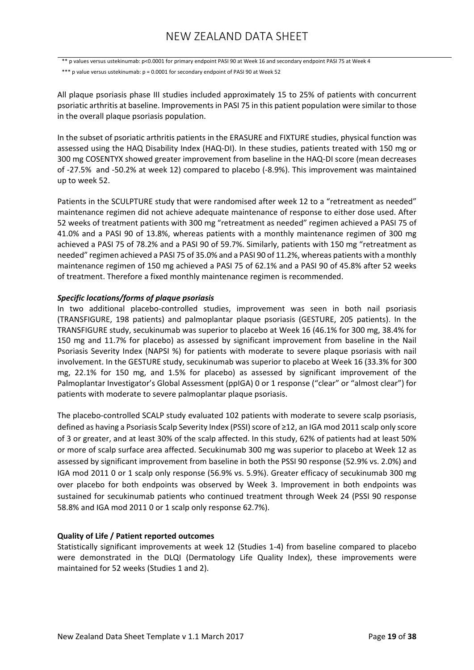\*\* p values versus ustekinumab: p<0.0001 for primary endpoint PASI 90 at Week 16 and secondary endpoint PASI 75 at Week 4

\*\*\* p value versus ustekinumab: p = 0.0001 for secondary endpoint of PASI 90 at Week 52

All plaque psoriasis phase III studies included approximately 15 to 25% of patients with concurrent psoriatic arthritis at baseline. Improvements in PASI 75 in this patient population were similar to those in the overall plaque psoriasis population.

In the subset of psoriatic arthritis patients in the ERASURE and FIXTURE studies, physical function was assessed using the HAQ Disability Index (HAQ-DI). In these studies, patients treated with 150 mg or 300 mg COSENTYX showed greater improvement from baseline in the HAQ-DI score (mean decreases of -27.5% and -50.2% at week 12) compared to placebo (-8.9%). This improvement was maintained up to week 52.

Patients in the SCULPTURE study that were randomised after week 12 to a "retreatment as needed" maintenance regimen did not achieve adequate maintenance of response to either dose used. After 52 weeks of treatment patients with 300 mg "retreatment as needed" regimen achieved a PASI 75 of 41.0% and a PASI 90 of 13.8%, whereas patients with a monthly maintenance regimen of 300 mg achieved a PASI 75 of 78.2% and a PASI 90 of 59.7%. Similarly, patients with 150 mg "retreatment as needed" regimen achieved a PASI 75 of 35.0% and a PASI 90 of 11.2%, whereas patients with a monthly maintenance regimen of 150 mg achieved a PASI 75 of 62.1% and a PASI 90 of 45.8% after 52 weeks of treatment. Therefore a fixed monthly maintenance regimen is recommended.

### *Specific locations/forms of plaque psoriasis*

In two additional placebo-controlled studies, improvement was seen in both nail psoriasis (TRANSFIGURE, 198 patients) and palmoplantar plaque psoriasis (GESTURE, 205 patients). In the TRANSFIGURE study, secukinumab was superior to placebo at Week 16 (46.1% for 300 mg, 38.4% for 150 mg and 11.7% for placebo) as assessed by significant improvement from baseline in the Nail Psoriasis Severity Index (NAPSI %) for patients with moderate to severe plaque psoriasis with nail involvement. In the GESTURE study, secukinumab was superior to placebo at Week 16 (33.3% for 300 mg, 22.1% for 150 mg, and 1.5% for placebo) as assessed by significant improvement of the Palmoplantar Investigator's Global Assessment (ppIGA) 0 or 1 response ("clear" or "almost clear") for patients with moderate to severe palmoplantar plaque psoriasis.

The placebo-controlled SCALP study evaluated 102 patients with moderate to severe scalp psoriasis, defined as having a Psoriasis Scalp Severity Index (PSSI) score of ≥12, an IGA mod 2011 scalp only score of 3 or greater, and at least 30% of the scalp affected. In this study, 62% of patients had at least 50% or more of scalp surface area affected. Secukinumab 300 mg was superior to placebo at Week 12 as assessed by significant improvement from baseline in both the PSSI 90 response (52.9% vs. 2.0%) and IGA mod 2011 0 or 1 scalp only response (56.9% vs. 5.9%). Greater efficacy of secukinumab 300 mg over placebo for both endpoints was observed by Week 3. Improvement in both endpoints was sustained for secukinumab patients who continued treatment through Week 24 (PSSI 90 response 58.8% and IGA mod 2011 0 or 1 scalp only response 62.7%).

### **Quality of Life / Patient reported outcomes**

Statistically significant improvements at week 12 (Studies 1-4) from baseline compared to placebo were demonstrated in the DLQI (Dermatology Life Quality Index), these improvements were maintained for 52 weeks (Studies 1 and 2).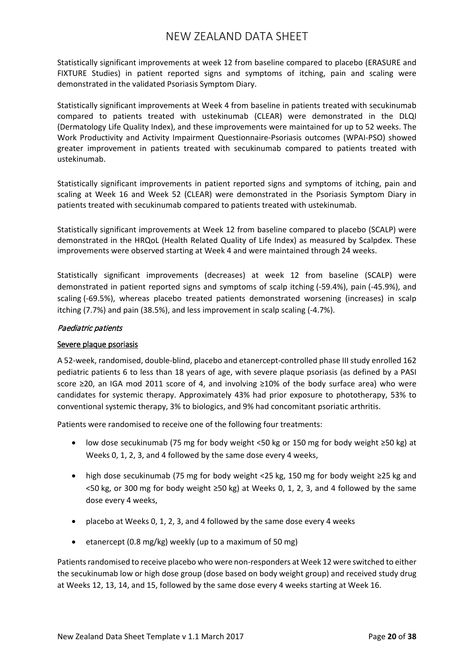Statistically significant improvements at week 12 from baseline compared to placebo (ERASURE and FIXTURE Studies) in patient reported signs and symptoms of itching, pain and scaling were demonstrated in the validated Psoriasis Symptom Diary.

Statistically significant improvements at Week 4 from baseline in patients treated with secukinumab compared to patients treated with ustekinumab (CLEAR) were demonstrated in the DLQI (Dermatology Life Quality Index), and these improvements were maintained for up to 52 weeks. The Work Productivity and Activity Impairment Questionnaire-Psoriasis outcomes (WPAI-PSO) showed greater improvement in patients treated with secukinumab compared to patients treated with ustekinumab.

Statistically significant improvements in patient reported signs and symptoms of itching, pain and scaling at Week 16 and Week 52 (CLEAR) were demonstrated in the Psoriasis Symptom Diary in patients treated with secukinumab compared to patients treated with ustekinumab.

Statistically significant improvements at Week 12 from baseline compared to placebo (SCALP) were demonstrated in the HRQoL (Health Related Quality of Life Index) as measured by Scalpdex. These improvements were observed starting at Week 4 and were maintained through 24 weeks.

Statistically significant improvements (decreases) at week 12 from baseline (SCALP) were demonstrated in patient reported signs and symptoms of scalp itching (-59.4%), pain (-45.9%), and scaling (-69.5%), whereas placebo treated patients demonstrated worsening (increases) in scalp itching (7.7%) and pain (38.5%), and less improvement in scalp scaling (-4.7%).

## Paediatric patients

## Severe plaque psoriasis

A 52-week, randomised, double-blind, placebo and etanercept-controlled phase III study enrolled 162 pediatric patients 6 to less than 18 years of age, with severe plaque psoriasis (as defined by a PASI score ≥20, an IGA mod 2011 score of 4, and involving ≥10% of the body surface area) who were candidates for systemic therapy. Approximately 43% had prior exposure to phototherapy, 53% to conventional systemic therapy, 3% to biologics, and 9% had concomitant psoriatic arthritis.

Patients were randomised to receive one of the following four treatments:

- low dose secukinumab (75 mg for body weight <50 kg or 150 mg for body weight ≥50 kg) at Weeks 0, 1, 2, 3, and 4 followed by the same dose every 4 weeks,
- high dose secukinumab (75 mg for body weight <25 kg, 150 mg for body weight ≥25 kg and  $<$ 50 kg, or 300 mg for body weight  $\geq$ 50 kg) at Weeks 0, 1, 2, 3, and 4 followed by the same dose every 4 weeks,
- placebo at Weeks 0, 1, 2, 3, and 4 followed by the same dose every 4 weeks
- etanercept (0.8 mg/kg) weekly (up to a maximum of 50 mg)

Patients randomised to receive placebo who were non-responders at Week 12 were switched to either the secukinumab low or high dose group (dose based on body weight group) and received study drug at Weeks 12, 13, 14, and 15, followed by the same dose every 4 weeks starting at Week 16.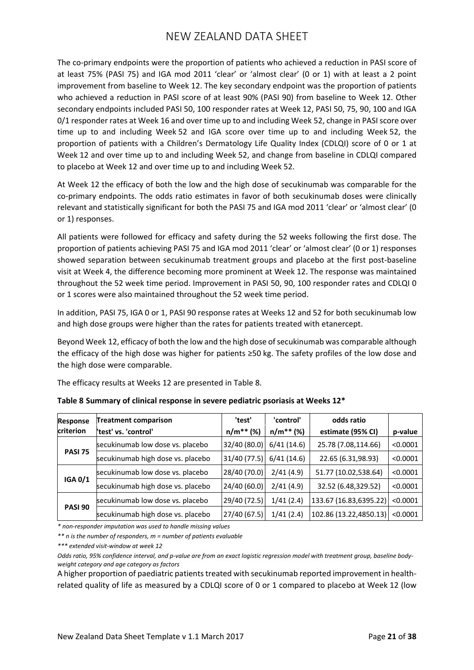The co-primary endpoints were the proportion of patients who achieved a reduction in PASI score of at least 75% (PASI 75) and IGA mod 2011 'clear' or 'almost clear' (0 or 1) with at least a 2 point improvement from baseline to Week 12. The key secondary endpoint was the proportion of patients who achieved a reduction in PASI score of at least 90% (PASI 90) from baseline to Week 12. Other secondary endpoints included PASI 50, 100 responder rates at Week 12, PASI 50, 75, 90, 100 and IGA 0/1 responder rates at Week 16 and over time up to and including Week 52, change in PASI score over time up to and including Week 52 and IGA score over time up to and including Week 52, the proportion of patients with a Children's Dermatology Life Quality Index (CDLQI) score of 0 or 1 at Week 12 and over time up to and including Week 52, and change from baseline in CDLQI compared to placebo at Week 12 and over time up to and including Week 52.

At Week 12 the efficacy of both the low and the high dose of secukinumab was comparable for the co-primary endpoints. The odds ratio estimates in favor of both secukinumab doses were clinically relevant and statistically significant for both the PASI 75 and IGA mod 2011 'clear' or 'almost clear' (0 or 1) responses.

All patients were followed for efficacy and safety during the 52 weeks following the first dose. The proportion of patients achieving PASI 75 and IGA mod 2011 'clear' or 'almost clear' (0 or 1) responses showed separation between secukinumab treatment groups and placebo at the first post-baseline visit at Week 4, the difference becoming more prominent at Week 12. The response was maintained throughout the 52 week time period. Improvement in PASI 50, 90, 100 responder rates and CDLQI 0 or 1 scores were also maintained throughout the 52 week time period.

In addition, PASI 75, IGA 0 or 1, PASI 90 response rates at Weeks 12 and 52 for both secukinumab low and high dose groups were higher than the rates for patients treated with etanercept.

Beyond Week 12, efficacy of both the low and the high dose of secukinumab was comparable although the efficacy of the high dose was higher for patients ≥50 kg. The safety profiles of the low dose and the high dose were comparable.

The efficacy results at Weeks 12 are presented in Table 8.

| <b>Response</b>  | <b>Treatment comparison</b>       | 'test'       | 'control'      | odds ratio             |          |
|------------------|-----------------------------------|--------------|----------------|------------------------|----------|
| <b>criterion</b> | "test' vs. 'control'              | $n/m**$ (%)  | $n/m^{**}$ (%) | estimate (95% CI)      | p-value  |
|                  | secukinumab low dose vs. placebo  | 32/40 (80.0) | 6/41(14.6)     | 25.78 (7.08,114.66)    | < 0.0001 |
| <b>PASI 75</b>   | secukinumab high dose vs. placebo | 31/40 (77.5) | 6/41(14.6)     | 22.65 (6.31,98.93)     | < 0.0001 |
|                  | secukinumab low dose vs. placebo  | 28/40 (70.0) | 2/41(4.9)      | 51.77 (10.02,538.64)   | < 0.0001 |
| <b>IGA 0/1</b>   | secukinumab high dose vs. placebo | 24/40 (60.0) | 2/41(4.9)      | 32.52 (6.48,329.52)    | < 0.0001 |
|                  | secukinumab low dose vs. placebo  | 29/40 (72.5) | 1/41(2.4)      | 133.67 (16.83,6395.22) | < 0.0001 |
| <b>PASI 90</b>   | secukinumab high dose vs. placebo | 27/40 (67.5) | 1/41(2.4)      | 102.86 (13.22,4850.13) | < 0.0001 |

| Table 8 Summary of clinical response in severe pediatric psoriasis at Weeks 12* |  |  |  |
|---------------------------------------------------------------------------------|--|--|--|
|---------------------------------------------------------------------------------|--|--|--|

*\* non-responder imputation was used to handle missing values*

*\*\* n is the number of responders, m = number of patients evaluable*

*\*\*\* extended visit-window at week 12*

A higher proportion of paediatric patients treated with secukinumab reported improvement in healthrelated quality of life as measured by a CDLQI score of 0 or 1 compared to placebo at Week 12 (low

*Odds ratio, 95% confidence interval, and p-value are from an exact logistic regression model with treatment group, baseline bodyweight category and age category as factors*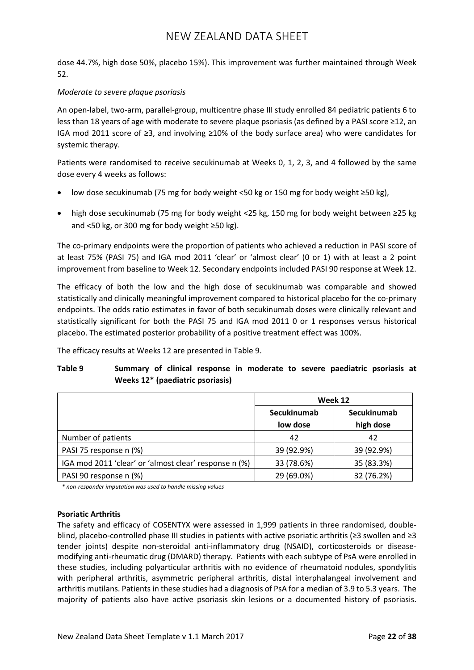dose 44.7%, high dose 50%, placebo 15%). This improvement was further maintained through Week 52.

### *Moderate to severe plaque psoriasis*

An open-label, two-arm, parallel-group, multicentre phase III study enrolled 84 pediatric patients 6 to less than 18 years of age with moderate to severe plaque psoriasis (as defined by a PASI score ≥12, an IGA mod 2011 score of ≥3, and involving ≥10% of the body surface area) who were candidates for systemic therapy.

Patients were randomised to receive secukinumab at Weeks 0, 1, 2, 3, and 4 followed by the same dose every 4 weeks as follows:

- low dose secukinumab (75 mg for body weight <50 kg or 150 mg for body weight ≥50 kg),
- high dose secukinumab (75 mg for body weight <25 kg, 150 mg for body weight between ≥25 kg and <50 kg, or 300 mg for body weight ≥50 kg).

The co-primary endpoints were the proportion of patients who achieved a reduction in PASI score of at least 75% (PASI 75) and IGA mod 2011 'clear' or 'almost clear' (0 or 1) with at least a 2 point improvement from baseline to Week 12. Secondary endpoints included PASI 90 response at Week 12.

The efficacy of both the low and the high dose of secukinumab was comparable and showed statistically and clinically meaningful improvement compared to historical placebo for the co-primary endpoints. The odds ratio estimates in favor of both secukinumab doses were clinically relevant and statistically significant for both the PASI 75 and IGA mod 2011 0 or 1 responses versus historical placebo. The estimated posterior probability of a positive treatment effect was 100%.

The efficacy results at Weeks 12 are presented in Table 9.

## **Table 9 Summary of clinical response in moderate to severe paediatric psoriasis at Weeks 12\* (paediatric psoriasis)**

|                                                       | Week 12     |             |  |
|-------------------------------------------------------|-------------|-------------|--|
|                                                       | Secukinumab | Secukinumab |  |
|                                                       | low dose    | high dose   |  |
| Number of patients                                    | 42          | 42          |  |
| PASI 75 response n (%)                                | 39 (92.9%)  | 39 (92.9%)  |  |
| IGA mod 2011 'clear' or 'almost clear' response n (%) | 33 (78.6%)  | 35 (83.3%)  |  |
| PASI 90 response n (%)                                | 29 (69.0%)  | 32 (76.2%)  |  |

*\* non-responder imputation was used to handle missing values*

### **Psoriatic Arthritis**

The safety and efficacy of COSENTYX were assessed in 1,999 patients in three randomised, doubleblind, placebo-controlled phase III studies in patients with active psoriatic arthritis (≥3 swollen and ≥3 tender joints) despite non-steroidal anti-inflammatory drug (NSAID), corticosteroids or diseasemodifying anti-rheumatic drug (DMARD) therapy. Patients with each subtype of PsA were enrolled in these studies, including polyarticular arthritis with no evidence of rheumatoid nodules, spondylitis with peripheral arthritis, asymmetric peripheral arthritis, distal interphalangeal involvement and arthritis mutilans. Patients in these studies had a diagnosis of PsA for a median of 3.9 to 5.3 years. The majority of patients also have active psoriasis skin lesions or a documented history of psoriasis.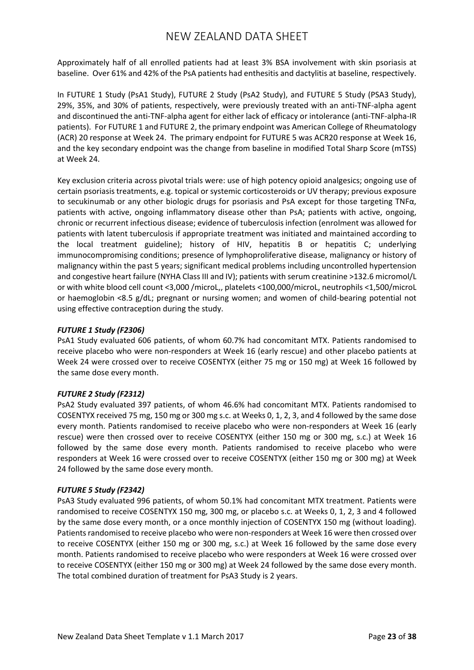Approximately half of all enrolled patients had at least 3% BSA involvement with skin psoriasis at baseline. Over 61% and 42% of the PsA patients had enthesitis and dactylitis at baseline, respectively.

In FUTURE 1 Study (PsA1 Study), FUTURE 2 Study (PsA2 Study), and FUTURE 5 Study (PSA3 Study), 29%, 35%, and 30% of patients, respectively, were previously treated with an anti-TNF-alpha agent and discontinued the anti-TNF-alpha agent for either lack of efficacy or intolerance (anti-TNF-alpha-IR patients). For FUTURE 1 and FUTURE 2, the primary endpoint was American College of Rheumatology (ACR) 20 response at Week 24. The primary endpoint for FUTURE 5 was ACR20 response at Week 16, and the key secondary endpoint was the change from baseline in modified Total Sharp Score (mTSS) at Week 24.

Key exclusion criteria across pivotal trials were: use of high potency opioid analgesics; ongoing use of certain psoriasis treatments, e.g. topical or systemic corticosteroids or UV therapy; previous exposure to secukinumab or any other biologic drugs for psoriasis and PsA except for those targeting TNFα, patients with active, ongoing inflammatory disease other than PsA; patients with active, ongoing, chronic or recurrent infectious disease; evidence of tuberculosis infection (enrolment was allowed for patients with latent tuberculosis if appropriate treatment was initiated and maintained according to the local treatment guideline); history of HIV, hepatitis B or hepatitis C; underlying immunocompromising conditions; presence of lymphoproliferative disease, malignancy or history of malignancy within the past 5 years; significant medical problems including uncontrolled hypertension and congestive heart failure (NYHA Class III and IV); patients with serum creatinine >132.6 micromol/L or with white blood cell count <3,000 /microL,, platelets <100,000/microL, neutrophils <1,500/microL or haemoglobin <8.5 g/dL; pregnant or nursing women; and women of child-bearing potential not using effective contraception during the study.

### *FUTURE 1 Study (F2306)*

PsA1 Study evaluated 606 patients, of whom 60.7% had concomitant MTX. Patients randomised to receive placebo who were non-responders at Week 16 (early rescue) and other placebo patients at Week 24 were crossed over to receive COSENTYX (either 75 mg or 150 mg) at Week 16 followed by the same dose every month.

### *FUTURE 2 Study (F2312)*

PsA2 Study evaluated 397 patients, of whom 46.6% had concomitant MTX. Patients randomised to COSENTYX received 75 mg, 150 mg or 300 mg s.c. at Weeks 0, 1, 2, 3, and 4 followed by the same dose every month. Patients randomised to receive placebo who were non-responders at Week 16 (early rescue) were then crossed over to receive COSENTYX (either 150 mg or 300 mg, s.c.) at Week 16 followed by the same dose every month. Patients randomised to receive placebo who were responders at Week 16 were crossed over to receive COSENTYX (either 150 mg or 300 mg) at Week 24 followed by the same dose every month.

### *FUTURE 5 Study (F2342)*

PsA3 Study evaluated 996 patients, of whom 50.1% had concomitant MTX treatment. Patients were randomised to receive COSENTYX 150 mg, 300 mg, or placebo s.c. at Weeks 0, 1, 2, 3 and 4 followed by the same dose every month, or a once monthly injection of COSENTYX 150 mg (without loading). Patients randomised to receive placebo who were non-responders at Week 16 were then crossed over to receive COSENTYX (either 150 mg or 300 mg, s.c.) at Week 16 followed by the same dose every month. Patients randomised to receive placebo who were responders at Week 16 were crossed over to receive COSENTYX (either 150 mg or 300 mg) at Week 24 followed by the same dose every month. The total combined duration of treatment for PsA3 Study is 2 years.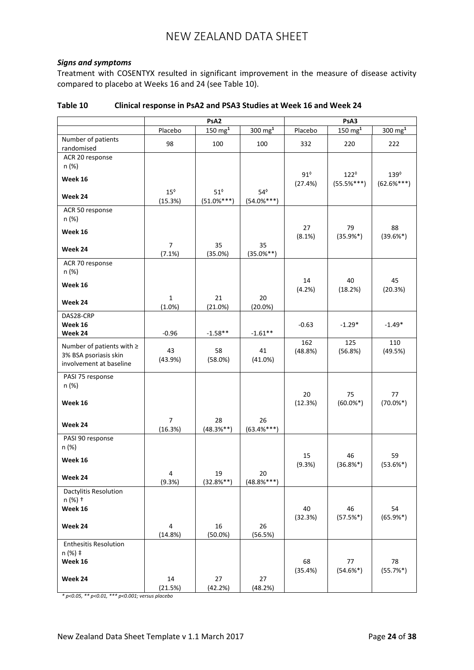### *Signs and symptoms*

Treatment with COSENTYX resulted in significant improvement in the measure of disease activity compared to placebo at Weeks 16 and 24 (see Table 10).

|                                  | PsA <sub>2</sub> |                    |                      | PsA3                  |                               |                              |
|----------------------------------|------------------|--------------------|----------------------|-----------------------|-------------------------------|------------------------------|
|                                  | Placebo          | $150 \text{ mg}^1$ | $300 \; \text{mg}^1$ | Placebo               | $150 \text{ mg}^1$            | $300 \text{ mg}^1$           |
| Number of patients<br>randomised | 98               | 100                | 100                  | 332                   | 220                           | 222                          |
| ACR 20 response                  |                  |                    |                      |                       |                               |                              |
| n (%)                            |                  |                    |                      |                       |                               |                              |
| Week 16                          |                  |                    |                      | $91^\circ$<br>(27.4%) | $122^{\circ}$<br>$(55.5%***)$ | $139^\circ$<br>$(62.6\%***)$ |
|                                  | $15^{\circ}$     | $51^\circ$         | $54^{\circ}$         |                       |                               |                              |
| Week 24                          | (15.3%)          | $(51.0\%***)$      | $(54.0\%***)$        |                       |                               |                              |
| ACR 50 response                  |                  |                    |                      |                       |                               |                              |
| n (%)                            |                  |                    |                      | 27                    | 79                            | 88                           |
| Week 16                          |                  |                    |                      | (8.1%)                | $(35.9%^{*})$                 | $(39.6\%*)$                  |
| Week 24                          | $\overline{7}$   | 35                 | 35                   |                       |                               |                              |
|                                  | (7.1%)           | (35.0%)            | $(35.0\%**)$         |                       |                               |                              |
| ACR 70 response<br>n (%)         |                  |                    |                      |                       |                               |                              |
|                                  |                  |                    |                      | 14                    | 40                            | 45                           |
| Week 16                          |                  |                    |                      | (4.2%)                | (18.2%)                       | (20.3%)                      |
| Week 24                          | 1                | 21                 | 20                   |                       |                               |                              |
| DAS28-CRP                        | $(1.0\%)$        | (21.0%)            | $(20.0\%)$           |                       |                               |                              |
| Week 16                          |                  |                    |                      | $-0.63$               | $-1.29*$                      | $-1.49*$                     |
| Week 24                          | $-0.96$          | $-1.58**$          | $-1.61**$            |                       |                               |                              |
| Number of patients with ≥        |                  |                    |                      | 162                   | 125                           | 110                          |
| 3% BSA psoriasis skin            | 43<br>(43.9%)    | 58<br>(58.0%)      | 41<br>(41.0%)        | (48.8%)               | (56.8%)                       | (49.5%)                      |
| involvement at baseline          |                  |                    |                      |                       |                               |                              |
| PASI 75 response                 |                  |                    |                      |                       |                               |                              |
| n (%)                            |                  |                    |                      |                       |                               |                              |
| Week 16                          |                  |                    |                      | 20<br>(12.3%)         | 75<br>$(60.0\%*)$             | 77<br>$(70.0\%*)$            |
|                                  |                  |                    |                      |                       |                               |                              |
| Week 24                          | $\overline{7}$   | 28                 | 26                   |                       |                               |                              |
|                                  | (16.3%)          | $(48.3%^{**})$     | $(63.4%***)$         |                       |                               |                              |
| PASI 90 response<br>n (%)        |                  |                    |                      |                       |                               |                              |
|                                  |                  |                    |                      | 15                    | 46                            | 59                           |
| Week 16                          |                  |                    |                      | (9.3%)                | $(36.8%^{*})$                 | $(53.6\%*)$                  |
| Week 24                          | 4                | 19                 | 20                   |                       |                               |                              |
| Dactylitis Resolution            | (9.3%)           | $(32.8\%**)$       | $(48.8\%***)$        |                       |                               |                              |
| n (%) +                          |                  |                    |                      |                       |                               |                              |
| Week 16                          |                  |                    |                      | 40                    | 46                            | 54                           |
|                                  |                  |                    |                      | (32.3%)               | $(57.5%*)$                    | $(65.9%*)$                   |
| Week 24                          | 4<br>(14.8%)     | 16<br>$(50.0\%)$   | 26<br>(56.5%)        |                       |                               |                              |
| <b>Enthesitis Resolution</b>     |                  |                    |                      |                       |                               |                              |
| n (%) ‡                          |                  |                    |                      |                       |                               |                              |
| Week 16                          |                  |                    |                      | 68                    | 77                            | 78                           |
| Week 24                          | 14               | 27                 | 27                   | (35.4%)               | $(54.6\%*)$                   | $(55.7%^*)$                  |
|                                  | (21.5%)          | (42.2%)            | (48.2%)              |                       |                               |                              |

### **Table 10 Clinical response in PsA2 and PSA3 Studies at Week 16 and Week 24**

*\* p<0.05, \*\* p<0.01, \*\*\* p<0.001; versus placebo*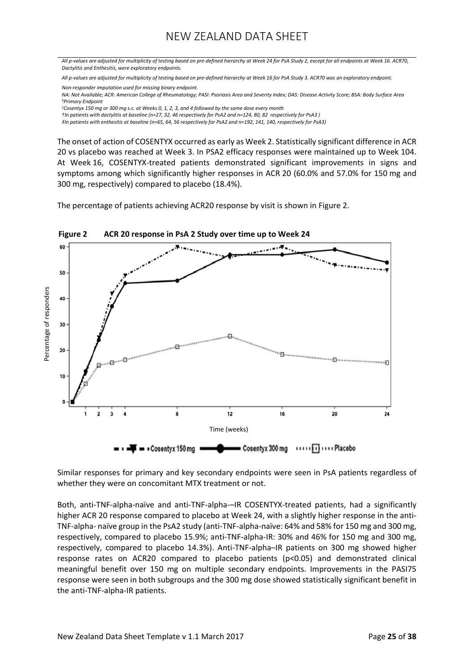*All p-values are adjusted for multiplicity of testing based on pre-defined hierarchy at Week 24 for PsA Study 2, except for all endpoints at Week 16. ACR70, Dactylitis and Enthesitis, were exploratory endpoints.*

*All p-values are adjusted for multiplicity of testing based on pre-defined hierarchy at Week 16 for PsA Study 3. ACR70 was an exploratory endpoint.*

*Non-responder imputation used for missing binary endpoint.*

*NA: Not Available; ACR: American College of Rheumatology; PASI: Psoriasis Area and Severity Index; DAS: Disease Activity Score; BSA: Body Surface Area ◊Primary Endpoint*

*<sup>1</sup>Cosentyx 150 mg or 300 mg s.c. at Weeks 0, 1, 2, 3, and 4 followed by the same dose every month*

*†In patients with dactylitis at baseline (n=27, 32, 46 respectively for PsA2 and n=124, 80, 82 respectively for PsA3 )*

*‡In patients with enthesitis at baseline (n=65, 64, 56 respectively for PsA2 and n=192, 141, 140, respectively for PsA3)*

The onset of action of COSENTYX occurred as early as Week 2. Statistically significant difference in ACR 20 vs placebo was reached at Week 3. In PSA2 efficacy responses were maintained up to Week 104. At Week 16, COSENTYX-treated patients demonstrated significant improvements in signs and symptoms among which significantly higher responses in ACR 20 (60.0% and 57.0% for 150 mg and 300 mg, respectively) compared to placebo (18.4%).

The percentage of patients achieving ACR20 response by visit is shown in Figure 2.



Similar responses for primary and key secondary endpoints were seen in PsA patients regardless of whether they were on concomitant MTX treatment or not.

Both, anti-TNF-alpha-naïve and anti-TNF-alpha-–IR COSENTYX-treated patients, had a significantly higher ACR 20 response compared to placebo at Week 24, with a slightly higher response in the anti-TNF-alpha- naïve group in the PsA2 study (anti-TNF-alpha-naïve: 64% and 58% for 150 mg and 300 mg, respectively, compared to placebo 15.9%; anti-TNF-alpha-IR: 30% and 46% for 150 mg and 300 mg, respectively, compared to placebo 14.3%). Anti-TNF-alpha–IR patients on 300 mg showed higher response rates on ACR20 compared to placebo patients (p<0.05) and demonstrated clinical meaningful benefit over 150 mg on multiple secondary endpoints. Improvements in the PASI75 response were seen in both subgroups and the 300 mg dose showed statistically significant benefit in the anti-TNF-alpha-IR patients.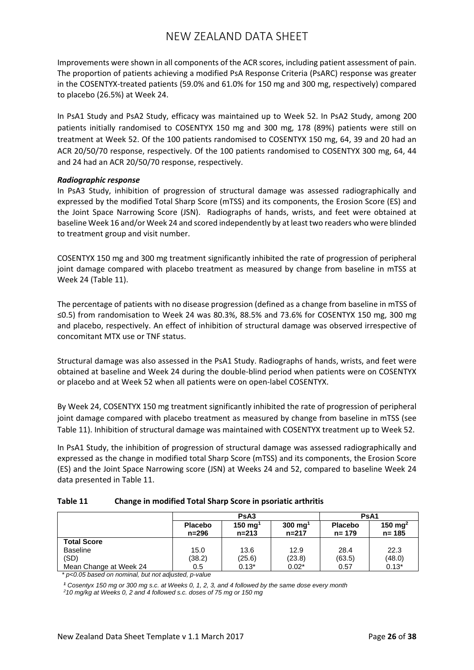Improvements were shown in all components of the ACR scores, including patient assessment of pain. The proportion of patients achieving a modified PsA Response Criteria (PsARC) response was greater in the COSENTYX-treated patients (59.0% and 61.0% for 150 mg and 300 mg, respectively) compared to placebo (26.5%) at Week 24.

In PsA1 Study and PsA2 Study, efficacy was maintained up to Week 52. In PsA2 Study, among 200 patients initially randomised to COSENTYX 150 mg and 300 mg, 178 (89%) patients were still on treatment at Week 52. Of the 100 patients randomised to COSENTYX 150 mg, 64, 39 and 20 had an ACR 20/50/70 response, respectively. Of the 100 patients randomised to COSENTYX 300 mg, 64, 44 and 24 had an ACR 20/50/70 response, respectively.

#### *Radiographic response*

In PsA3 Study, inhibition of progression of structural damage was assessed radiographically and expressed by the modified Total Sharp Score (mTSS) and its components, the Erosion Score (ES) and the Joint Space Narrowing Score (JSN). Radiographs of hands, wrists, and feet were obtained at baseline Week 16 and/or Week 24 and scored independently by at least two readers who were blinded to treatment group and visit number.

COSENTYX 150 mg and 300 mg treatment significantly inhibited the rate of progression of peripheral joint damage compared with placebo treatment as measured by change from baseline in mTSS at Week 24 (Table 11).

The percentage of patients with no disease progression (defined as a change from baseline in mTSS of ≤0.5) from randomisation to Week 24 was 80.3%, 88.5% and 73.6% for COSENTYX 150 mg, 300 mg and placebo, respectively. An effect of inhibition of structural damage was observed irrespective of concomitant MTX use or TNF status.

Structural damage was also assessed in the PsA1 Study. Radiographs of hands, wrists, and feet were obtained at baseline and Week 24 during the double-blind period when patients were on COSENTYX or placebo and at Week 52 when all patients were on open-label COSENTYX.

By Week 24, COSENTYX 150 mg treatment significantly inhibited the rate of progression of peripheral joint damage compared with placebo treatment as measured by change from baseline in mTSS (see Table 11). Inhibition of structural damage was maintained with COSENTYX treatment up to Week 52.

In PsA1 Study, the inhibition of progression of structural damage was assessed radiographically and expressed as the change in modified total Sharp Score (mTSS) and its components, the Erosion Score (ES) and the Joint Space Narrowing score (JSN) at Weeks 24 and 52, compared to baseline Week 24 data presented in Table 11.

| Table 11 | Change in modified Total Sharp Score in psoriatic arthritis |
|----------|-------------------------------------------------------------|
|----------|-------------------------------------------------------------|

|                        |                         | PsA <sub>3</sub>                |                                 |                             | PsA <sub>1</sub>                 |  |  |
|------------------------|-------------------------|---------------------------------|---------------------------------|-----------------------------|----------------------------------|--|--|
|                        | <b>Placebo</b><br>n=296 | $150 \text{ mg}^1$<br>$n = 213$ | $300 \text{ mg}^1$<br>$n = 217$ | <b>Placebo</b><br>$n = 179$ | 150 mg <sup>2</sup><br>$n = 185$ |  |  |
| <b>Total Score</b>     |                         |                                 |                                 |                             |                                  |  |  |
| <b>Baseline</b>        | 15.0                    | 13.6                            | 12.9                            | 28.4                        | 22.3                             |  |  |
| (SD)                   | (38.2)                  | (25.6)                          | (23.8)                          | (63.5)                      | (48.0)                           |  |  |
| Mean Change at Week 24 | 0.5                     | $0.13*$                         | $0.02*$                         | 0.57                        | $0.13*$                          |  |  |

*\* p<0.05 based on nominal, but not adjusted, p-value*

*<sup>1</sup> Cosentyx 150 mg or 300 mg s.c. at Weeks 0, 1, 2, 3, and 4 followed by the same dose every month*

*2 10 mg/kg at Weeks 0, 2 and 4 followed s.c. doses of 75 mg or 150 mg*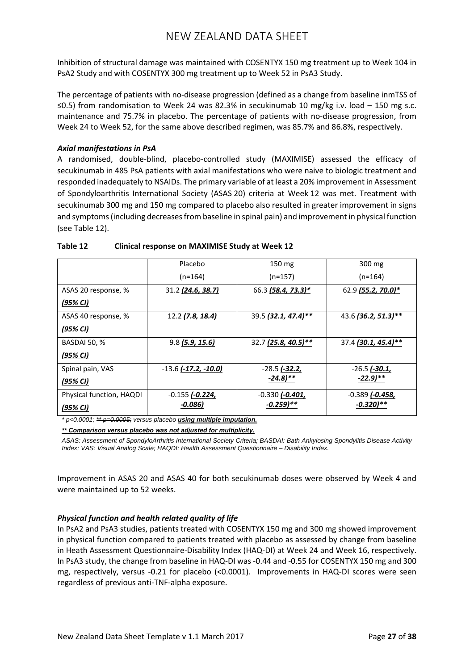Inhibition of structural damage was maintained with COSENTYX 150 mg treatment up to Week 104 in PsA2 Study and with COSENTYX 300 mg treatment up to Week 52 in PsA3 Study.

The percentage of patients with no-disease progression (defined as a change from baseline inmTSS of ≤0.5) from randomisation to Week 24 was 82.3% in secukinumab 10 mg/kg i.v. load – 150 mg s.c. maintenance and 75.7% in placebo. The percentage of patients with no-disease progression, from Week 24 to Week 52, for the same above described regimen, was 85.7% and 86.8%, respectively.

### *Axial manifestations in PsA*

A randomised, double-blind, placebo-controlled study (MAXIMISE) assessed the efficacy of secukinumab in 485 PsA patients with axial manifestations who were naive to biologic treatment and responded inadequately to NSAIDs. The primary variable of at least a 20% improvement in Assessment of Spondyloarthritis International Society (ASAS 20) criteria at Week 12 was met. Treatment with secukinumab 300 mg and 150 mg compared to placebo also resulted in greater improvement in signs and symptoms (including decreases from baseline in spinal pain) and improvement in physical function (see Table 12).

|                          | Placebo                       | 150 mg                | 300 mg                |
|--------------------------|-------------------------------|-----------------------|-----------------------|
|                          | $(n=164)$                     | $(n=157)$             | $(n=164)$             |
| ASAS 20 response, %      | 31.2 (24.6, 38.7)             | 66.3 (58.4, 73.3)*    | 62.9 (55.2, 70.0)*    |
| (95% CI)                 |                               |                       |                       |
| ASAS 40 response, %      | 12.2 (7.8, 18.4)              | 39.5 (32.1, 47.4)**   | 43.6 (36.2, 51.3)**   |
| (95% CI)                 |                               |                       |                       |
| <b>BASDAI 50, %</b>      | 9.8 (5.9, 15.6)               | 32.7 (25.8, 40.5)**   | 37.4 (30.1, 45.4)**   |
| (95% CI)                 |                               |                       |                       |
| Spinal pain, VAS         | $-13.6$ ( $-17.2$ , $-10.0$ ) | $-28.5$ ( $-32.2$ )   | $-26.5$ (-30.1,       |
| <u>(95% CI)</u>          |                               | $-24.8$ )**           | $-22.9$ )**           |
| Physical function, HAQDI | $-0.155$ ( $-0.224$ )         | $-0.330$ ( $-0.401$ ) | $-0.389$ ( $-0.458$ , |
| (95% CI)                 | -0.086)                       | $-0.259$ )**          | $-0.320$ )**          |

### **Table 12 Clinical response on MAXIMISE Study at Week 12**

*\* p<0.0001; \*\* p=0.0005; versus placebo using multiple imputation.*

*\*\* Comparison versus placebo was not adjusted for multiplicity.*

*ASAS: Assessment of SpondyloArthritis International Society Criteria; BASDAI: Bath Ankylosing Spondylitis Disease Activity Index; VAS: Visual Analog Scale; HAQDI: Health Assessment Questionnaire – Disability Index.*

Improvement in ASAS 20 and ASAS 40 for both secukinumab doses were observed by Week 4 and were maintained up to 52 weeks.

### *Physical function and health related quality of life*

In PsA2 and PsA3 studies, patients treated with COSENTYX 150 mg and 300 mg showed improvement in physical function compared to patients treated with placebo as assessed by change from baseline in Heath Assessment Questionnaire-Disability Index (HAQ-DI) at Week 24 and Week 16, respectively. In PsA3 study, the change from baseline in HAQ-DI was -0.44 and -0.55 for COSENTYX 150 mg and 300 mg, respectively, versus -0.21 for placebo (<0.0001). Improvements in HAQ-DI scores were seen regardless of previous anti-TNF-alpha exposure.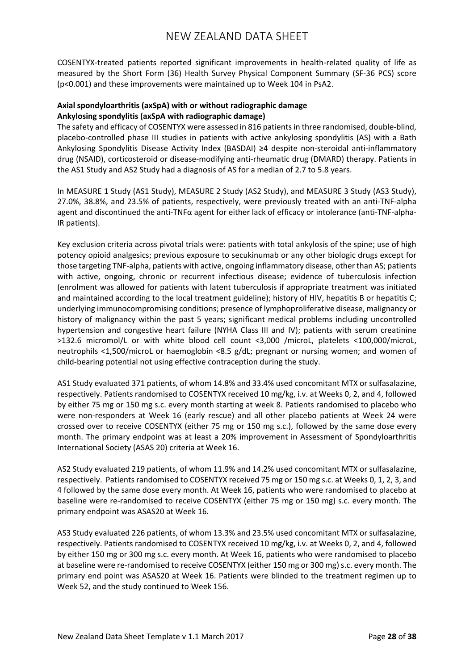COSENTYX-treated patients reported significant improvements in health-related quality of life as measured by the Short Form (36) Health Survey Physical Component Summary (SF-36 PCS) score (p<0.001) and these improvements were maintained up to Week 104 in PsA2.

### **Axial spondyloarthritis (axSpA) with or without radiographic damage Ankylosing spondylitis (axSpA with radiographic damage)**

The safety and efficacy of COSENTYX were assessed in 816 patients in three randomised, double-blind, placebo-controlled phase III studies in patients with active ankylosing spondylitis (AS) with a Bath Ankylosing Spondylitis Disease Activity Index (BASDAI) ≥4 despite non-steroidal anti-inflammatory drug (NSAID), corticosteroid or disease-modifying anti-rheumatic drug (DMARD) therapy. Patients in the AS1 Study and AS2 Study had a diagnosis of AS for a median of 2.7 to 5.8 years.

In MEASURE 1 Study (AS1 Study), MEASURE 2 Study (AS2 Study), and MEASURE 3 Study (AS3 Study), 27.0%, 38.8%, and 23.5% of patients, respectively, were previously treated with an anti-TNF-alpha agent and discontinued the anti-TNFα agent for either lack of efficacy or intolerance (anti-TNF-alpha-IR patients).

Key exclusion criteria across pivotal trials were: patients with total ankylosis of the spine; use of high potency opioid analgesics; previous exposure to secukinumab or any other biologic drugs except for those targeting TNF-alpha, patients with active, ongoing inflammatory disease, other than AS; patients with active, ongoing, chronic or recurrent infectious disease; evidence of tuberculosis infection (enrolment was allowed for patients with latent tuberculosis if appropriate treatment was initiated and maintained according to the local treatment guideline); history of HIV, hepatitis B or hepatitis C; underlying immunocompromising conditions; presence of lymphoproliferative disease, malignancy or history of malignancy within the past 5 years; significant medical problems including uncontrolled hypertension and congestive heart failure (NYHA Class III and IV); patients with serum creatinine >132.6 micromol/L or with white blood cell count <3,000 /microL, platelets <100,000/microL, neutrophils <1,500/microL or haemoglobin <8.5 g/dL; pregnant or nursing women; and women of child-bearing potential not using effective contraception during the study.

AS1 Study evaluated 371 patients, of whom 14.8% and 33.4% used concomitant MTX or sulfasalazine, respectively. Patients randomised to COSENTYX received 10 mg/kg, i.v. at Weeks 0, 2, and 4, followed by either 75 mg or 150 mg s.c. every month starting at week 8. Patients randomised to placebo who were non-responders at Week 16 (early rescue) and all other placebo patients at Week 24 were crossed over to receive COSENTYX (either 75 mg or 150 mg s.c.), followed by the same dose every month. The primary endpoint was at least a 20% improvement in Assessment of Spondyloarthritis International Society (ASAS 20) criteria at Week 16.

AS2 Study evaluated 219 patients, of whom 11.9% and 14.2% used concomitant MTX or sulfasalazine, respectively. Patients randomised to COSENTYX received 75 mg or 150 mg s.c. at Weeks 0, 1, 2, 3, and 4 followed by the same dose every month. At Week 16, patients who were randomised to placebo at baseline were re-randomised to receive COSENTYX (either 75 mg or 150 mg) s.c. every month. The primary endpoint was ASAS20 at Week 16.

AS3 Study evaluated 226 patients, of whom 13.3% and 23.5% used concomitant MTX or sulfasalazine, respectively. Patients randomised to COSENTYX received 10 mg/kg, i.v. at Weeks 0, 2, and 4, followed by either 150 mg or 300 mg s.c. every month. At Week 16, patients who were randomised to placebo at baseline were re-randomised to receive COSENTYX (either 150 mg or 300 mg) s.c. every month. The primary end point was ASAS20 at Week 16. Patients were blinded to the treatment regimen up to Week 52, and the study continued to Week 156.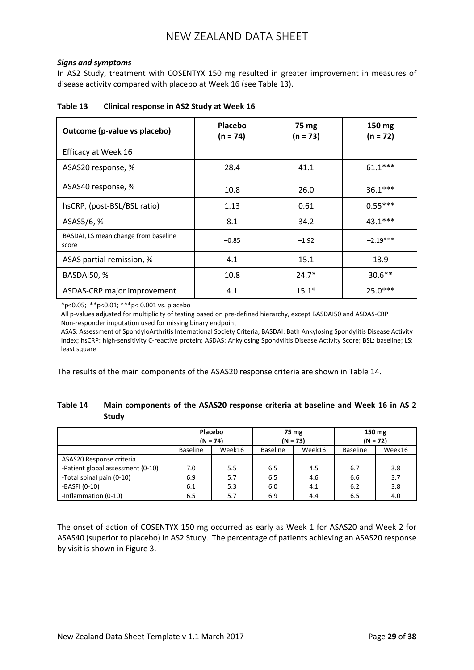### *Signs and symptoms*

In AS2 Study, treatment with COSENTYX 150 mg resulted in greater improvement in measures of disease activity compared with placebo at Week 16 (see Table 13).

| Outcome (p-value vs placebo)                  | Placebo<br>$(n = 74)$ | 75 mg<br>$(n = 73)$ | 150 mg<br>(n = 72) |
|-----------------------------------------------|-----------------------|---------------------|--------------------|
| Efficacy at Week 16                           |                       |                     |                    |
| ASAS20 response, %                            | 28.4                  | 41.1                | $61.1***$          |
| ASAS40 response, %                            | 10.8                  | 26.0                | $36.1***$          |
| hsCRP, (post-BSL/BSL ratio)                   | 1.13                  | 0.61                | $0.55***$          |
| ASAS5/6, %                                    | 8.1                   | 34.2                | $43.1***$          |
| BASDAI, LS mean change from baseline<br>score | $-0.85$               | $-1.92$             | $-2.19***$         |
| ASAS partial remission, %                     | 4.1                   | 15.1                | 13.9               |
| BASDAI50, %                                   | 10.8                  | $24.7*$             | $30.6**$           |
| ASDAS-CRP major improvement                   | 4.1                   | $15.1*$             | $25.0***$          |

#### **Table 13 Clinical response in AS2 Study at Week 16**

\*p<0.05; \*\*p<0.01; \*\*\*p< 0.001 vs. placebo

All p-values adjusted for multiplicity of testing based on pre-defined hierarchy, except BASDAI50 and ASDAS-CRP Non-responder imputation used for missing binary endpoint

ASAS: Assessment of SpondyloArthritis International Society Criteria; BASDAI: Bath Ankylosing Spondylitis Disease Activity Index; hsCRP: high-sensitivity C-reactive protein; ASDAS: Ankylosing Spondylitis Disease Activity Score; BSL: baseline; LS: least square

The results of the main components of the ASAS20 response criteria are shown in Table 14.

## **Table 14 Main components of the ASAS20 response criteria at baseline and Week 16 in AS 2 Study**

|                                   | Placebo<br>$(N = 74)$ |        | 75 mg<br>$(N = 73)$ |        | 150 mg<br>$(N = 72)$ |        |
|-----------------------------------|-----------------------|--------|---------------------|--------|----------------------|--------|
|                                   | <b>Baseline</b>       | Week16 | <b>Baseline</b>     | Week16 | <b>Baseline</b>      | Week16 |
| ASAS20 Response criteria          |                       |        |                     |        |                      |        |
| -Patient global assessment (0-10) | 7.0                   | 5.5    | 6.5                 | 4.5    | 6.7                  | 3.8    |
| -Total spinal pain (0-10)         | 6.9                   | 5.7    | 6.5                 | 4.6    | 6.6                  | 3.7    |
| -BASFI (0-10)                     | 6.1                   | 5.3    | 6.0                 | 4.1    | 6.2                  | 3.8    |
| -Inflammation (0-10)              | 6.5                   | 5.7    | 6.9                 | 4.4    | 6.5                  | 4.0    |

The onset of action of COSENTYX 150 mg occurred as early as Week 1 for ASAS20 and Week 2 for ASAS40 (superior to placebo) in AS2 Study. The percentage of patients achieving an ASAS20 response by visit is shown in Figure 3.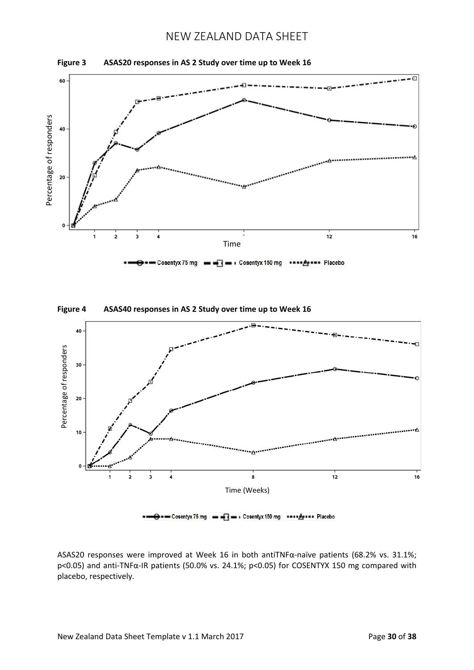





O = - Cosentyx 75 mg = - 3 = + Cosentyx 150 mg = = + 2 + + + Placebo

ASAS20 responses were improved at Week 16 in both antiTNFα-naïve patients (68.2% vs. 31.1%; p<0.05) and anti-TNFα-IR patients (50.0% vs. 24.1%; p<0.05) for COSENTYX 150 mg compared with placebo, respectively.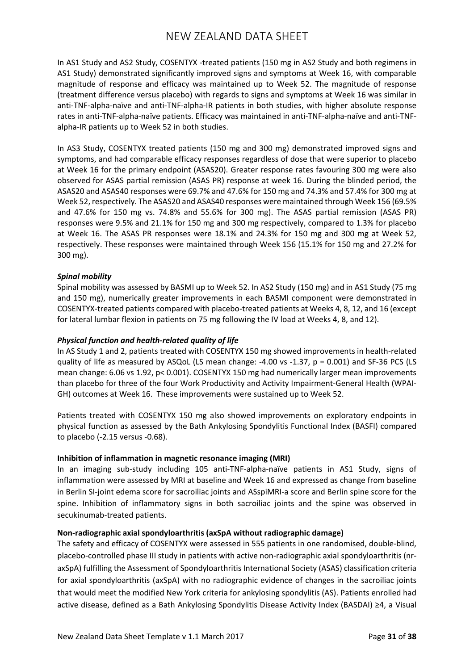In AS1 Study and AS2 Study, COSENTYX -treated patients (150 mg in AS2 Study and both regimens in AS1 Study) demonstrated significantly improved signs and symptoms at Week 16, with comparable magnitude of response and efficacy was maintained up to Week 52. The magnitude of response (treatment difference versus placebo) with regards to signs and symptoms at Week 16 was similar in anti-TNF-alpha-naïve and anti-TNF-alpha-IR patients in both studies, with higher absolute response rates in anti-TNF-alpha-naïve patients. Efficacy was maintained in anti-TNF-alpha-naïve and anti-TNFalpha-IR patients up to Week 52 in both studies.

In AS3 Study, COSENTYX treated patients (150 mg and 300 mg) demonstrated improved signs and symptoms, and had comparable efficacy responses regardless of dose that were superior to placebo at Week 16 for the primary endpoint (ASAS20). Greater response rates favouring 300 mg were also observed for ASAS partial remission (ASAS PR) response at week 16. During the blinded period, the ASAS20 and ASAS40 responses were 69.7% and 47.6% for 150 mg and 74.3% and 57.4% for 300 mg at Week 52, respectively. The ASAS20 and ASAS40 responses were maintained through Week 156 (69.5% and 47.6% for 150 mg vs. 74.8% and 55.6% for 300 mg). The ASAS partial remission (ASAS PR) responses were 9.5% and 21.1% for 150 mg and 300 mg respectively, compared to 1.3% for placebo at Week 16. The ASAS PR responses were 18.1% and 24.3% for 150 mg and 300 mg at Week 52, respectively. These responses were maintained through Week 156 (15.1% for 150 mg and 27.2% for 300 mg).

### *Spinal mobility*

Spinal mobility was assessed by BASMI up to Week 52. In AS2 Study (150 mg) and in AS1 Study (75 mg and 150 mg), numerically greater improvements in each BASMI component were demonstrated in COSENTYX-treated patients compared with placebo-treated patients at Weeks 4, 8, 12, and 16 (except for lateral lumbar flexion in patients on 75 mg following the IV load at Weeks 4, 8, and 12).

### *Physical function and health-related quality of life*

In AS Study 1 and 2, patients treated with COSENTYX 150 mg showed improvements in health-related quality of life as measured by ASQoL (LS mean change: -4.00 vs -1.37, p = 0.001) and SF-36 PCS (LS mean change: 6.06 vs 1.92, p< 0.001). COSENTYX 150 mg had numerically larger mean improvements than placebo for three of the four Work Productivity and Activity Impairment-General Health (WPAI-GH) outcomes at Week 16. These improvements were sustained up to Week 52.

Patients treated with COSENTYX 150 mg also showed improvements on exploratory endpoints in physical function as assessed by the Bath Ankylosing Spondylitis Functional Index (BASFI) compared to placebo (-2.15 versus -0.68).

### **Inhibition of inflammation in magnetic resonance imaging (MRI)**

In an imaging sub-study including 105 anti-TNF-alpha-naïve patients in AS1 Study, signs of inflammation were assessed by MRI at baseline and Week 16 and expressed as change from baseline in Berlin SI-joint edema score for sacroiliac joints and ASspiMRI-a score and Berlin spine score for the spine. Inhibition of inflammatory signs in both sacroiliac joints and the spine was observed in secukinumab-treated patients.

### **Non-radiographic axial spondyloarthritis (axSpA without radiographic damage)**

The safety and efficacy of COSENTYX were assessed in 555 patients in one randomised, double-blind, placebo-controlled phase III study in patients with active non-radiographic axial spondyloarthritis (nraxSpA) fulfilling the Assessment of Spondyloarthritis International Society (ASAS) classification criteria for axial spondyloarthritis (axSpA) with no radiographic evidence of changes in the sacroiliac joints that would meet the modified New York criteria for ankylosing spondylitis (AS). Patients enrolled had active disease, defined as a Bath Ankylosing Spondylitis Disease Activity Index (BASDAI) ≥4, a Visual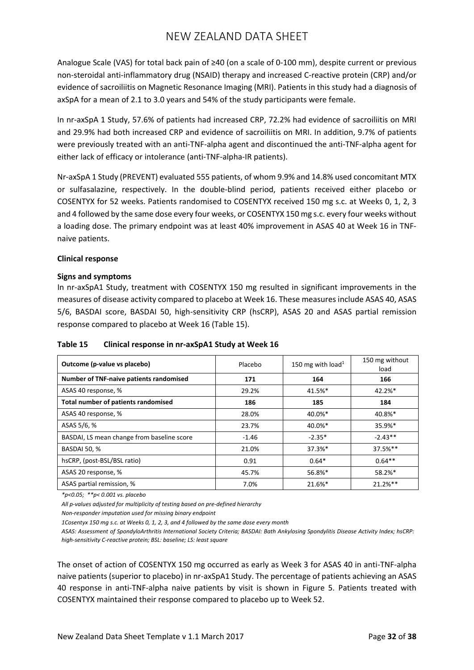Analogue Scale (VAS) for total back pain of ≥40 (on a scale of 0-100 mm), despite current or previous non-steroidal anti-inflammatory drug (NSAID) therapy and increased C-reactive protein (CRP) and/or evidence of sacroiliitis on Magnetic Resonance Imaging (MRI). Patients in this study had a diagnosis of axSpA for a mean of 2.1 to 3.0 years and 54% of the study participants were female.

In nr-axSpA 1 Study, 57.6% of patients had increased CRP, 72.2% had evidence of sacroiliitis on MRI and 29.9% had both increased CRP and evidence of sacroiliitis on MRI. In addition, 9.7% of patients were previously treated with an anti-TNF-alpha agent and discontinued the anti-TNF-alpha agent for either lack of efficacy or intolerance (anti-TNF-alpha-IR patients).

Nr-axSpA 1 Study (PREVENT) evaluated 555 patients, of whom 9.9% and 14.8% used concomitant MTX or sulfasalazine, respectively. In the double-blind period, patients received either placebo or COSENTYX for 52 weeks. Patients randomised to COSENTYX received 150 mg s.c. at Weeks 0, 1, 2, 3 and 4 followed by the same dose every four weeks, or COSENTYX 150 mg s.c. every four weeks without a loading dose. The primary endpoint was at least 40% improvement in ASAS 40 at Week 16 in TNFnaive patients.

### **Clinical response**

### **Signs and symptoms**

In nr-axSpA1 Study, treatment with COSENTYX 150 mg resulted in significant improvements in the measures of disease activity compared to placebo at Week 16. These measures include ASAS 40, ASAS 5/6, BASDAI score, BASDAI 50, high-sensitivity CRP (hsCRP), ASAS 20 and ASAS partial remission response compared to placebo at Week 16 (Table 15).

| Table 15 | Clinical response in nr-axSpA1 Study at Week 16 |
|----------|-------------------------------------------------|
|----------|-------------------------------------------------|

| Outcome (p-value vs placebo)               | Placebo | 150 mg with load <sup>1</sup> | 150 mg without<br>load |
|--------------------------------------------|---------|-------------------------------|------------------------|
| Number of TNF-naive patients randomised    | 171     | 164                           | 166                    |
| ASAS 40 response, %                        | 29.2%   | 41.5%*                        | 42.2%*                 |
| <b>Total number of patients randomised</b> | 186     | 185                           | 184                    |
| ASAS 40 response, %                        | 28.0%   | 40.0%*                        | 40.8%*                 |
| ASAS 5/6, %                                | 23.7%   | 40.0%*                        | 35.9%*                 |
| BASDAI, LS mean change from baseline score | $-1.46$ | $-2.35*$                      | $-2.43**$              |
| <b>BASDAI 50, %</b>                        | 21.0%   | $37.3%$ *                     | 37.5%**                |
| hsCRP, (post-BSL/BSL ratio)                | 0.91    | $0.64*$                       | $0.64**$               |
| ASAS 20 response, %                        | 45.7%   | 56.8%*                        | 58.2%*                 |
| ASAS partial remission, %                  | 7.0%    | 21.6%*                        | 21.2%**                |

*\*p<0.05; \*\*p< 0.001 vs. placebo*

*All p-values adjusted for multiplicity of testing based on pre-defined hierarchy*

*Non-responder imputation used for missing binary endpoint*

*1Cosentyx 150 mg s.c. at Weeks 0, 1, 2, 3, and 4 followed by the same dose every month*

*ASAS: Assessment of SpondyloArthritis International Society Criteria; BASDAI: Bath Ankylosing Spondylitis Disease Activity Index; hsCRP: high-sensitivity C-reactive protein; BSL: baseline; LS: least square*

The onset of action of COSENTYX 150 mg occurred as early as Week 3 for ASAS 40 in anti-TNF-alpha naive patients (superior to placebo) in nr-axSpA1 Study. The percentage of patients achieving an ASAS 40 response in anti-TNF-alpha naive patients by visit is shown in Figure 5. Patients treated with COSENTYX maintained their response compared to placebo up to Week 52.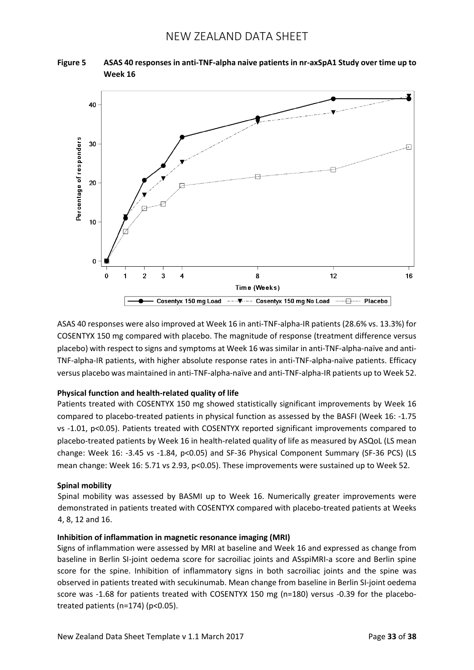



ASAS 40 responses were also improved at Week 16 in anti-TNF-alpha-IR patients (28.6% vs. 13.3%) for COSENTYX 150 mg compared with placebo. The magnitude of response (treatment difference versus placebo) with respect to signs and symptoms at Week 16 was similar in anti-TNF-alpha-naïve and anti-TNF-alpha-IR patients, with higher absolute response rates in anti-TNF-alpha-naïve patients. Efficacy versus placebo was maintained in anti-TNF-alpha-naïve and anti-TNF-alpha-IR patients up to Week 52.

### **Physical function and health-related quality of life**

Patients treated with COSENTYX 150 mg showed statistically significant improvements by Week 16 compared to placebo-treated patients in physical function as assessed by the BASFI (Week 16: -1.75 vs -1.01, p<0.05). Patients treated with COSENTYX reported significant improvements compared to placebo-treated patients by Week 16 in health-related quality of life as measured by ASQoL (LS mean change: Week 16: -3.45 vs -1.84, p<0.05) and SF-36 Physical Component Summary (SF-36 PCS) (LS mean change: Week 16: 5.71 vs 2.93, p<0.05). These improvements were sustained up to Week 52.

#### **Spinal mobility**

Spinal mobility was assessed by BASMI up to Week 16. Numerically greater improvements were demonstrated in patients treated with COSENTYX compared with placebo-treated patients at Weeks 4, 8, 12 and 16.

#### **Inhibition of inflammation in magnetic resonance imaging (MRI)**

Signs of inflammation were assessed by MRI at baseline and Week 16 and expressed as change from baseline in Berlin SI-joint oedema score for sacroiliac joints and ASspiMRI-a score and Berlin spine score for the spine. Inhibition of inflammatory signs in both sacroiliac joints and the spine was observed in patients treated with secukinumab. Mean change from baseline in Berlin SI-joint oedema score was -1.68 for patients treated with COSENTYX 150 mg (n=180) versus -0.39 for the placebotreated patients (n=174) (p<0.05).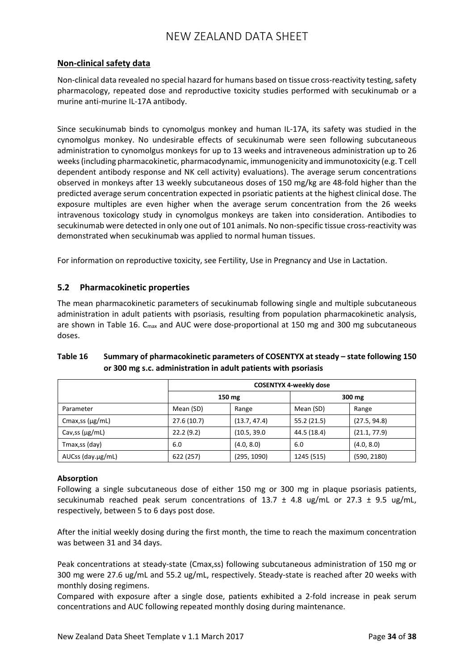## **Non-clinical safety data**

Non-clinical data revealed no special hazard for humans based on tissue cross-reactivity testing, safety pharmacology, repeated dose and reproductive toxicity studies performed with secukinumab or a murine anti-murine IL-17A antibody.

Since secukinumab binds to cynomolgus monkey and human IL-17A, its safety was studied in the cynomolgus monkey. No undesirable effects of secukinumab were seen following subcutaneous administration to cynomolgus monkeys for up to 13 weeks and intraveneous administration up to 26 weeks (including pharmacokinetic, pharmacodynamic, immunogenicity and immunotoxicity (e.g. T cell dependent antibody response and NK cell activity) evaluations). The average serum concentrations observed in monkeys after 13 weekly subcutaneous doses of 150 mg/kg are 48-fold higher than the predicted average serum concentration expected in psoriatic patients at the highest clinical dose. The exposure multiples are even higher when the average serum concentration from the 26 weeks intravenous toxicology study in cynomolgus monkeys are taken into consideration. Antibodies to secukinumab were detected in only one out of 101 animals. No non-specific tissue cross-reactivity was demonstrated when secukinumab was applied to normal human tissues.

For information on reproductive toxicity, see Fertility, Use in Pregnancy and Use in Lactation.

## **5.2 Pharmacokinetic properties**

The mean pharmacokinetic parameters of secukinumab following single and multiple subcutaneous administration in adult patients with psoriasis, resulting from population pharmacokinetic analysis, are shown in Table 16. C<sub>max</sub> and AUC were dose-proportional at 150 mg and 300 mg subcutaneous doses.

|                       | <b>COSENTYX 4-weekly dose</b> |              |             |              |
|-----------------------|-------------------------------|--------------|-------------|--------------|
|                       | 150 mg                        |              |             | 300 mg       |
| Parameter             | Mean (SD)                     | Range        | Mean (SD)   | Range        |
| Cmax, ss $(\mu g/mL)$ | 27.6(10.7)                    | (13.7, 47.4) | 55.2 (21.5) | (27.5, 94.8) |
| Cav, ss $(\mu g/mL)$  | 22.2(9.2)                     | (10.5, 39.0) | 44.5 (18.4) | (21.1, 77.9) |
| Tmax,ss (day)         | 6.0                           | (4.0, 8.0)   | 6.0         | (4.0, 8.0)   |
| AUCss (day.µg/mL)     | 622 (257)                     | (295, 1090)  | 1245 (515)  | (590, 2180)  |

## **Table 16 Summary of pharmacokinetic parameters of COSENTYX at steady – state following 150 or 300 mg s.c. administration in adult patients with psoriasis**

### **Absorption**

Following a single subcutaneous dose of either 150 mg or 300 mg in plaque psoriasis patients, secukinumab reached peak serum concentrations of 13.7  $\pm$  4.8 ug/mL or 27.3  $\pm$  9.5 ug/mL, respectively, between 5 to 6 days post dose.

After the initial weekly dosing during the first month, the time to reach the maximum concentration was between 31 and 34 days.

Peak concentrations at steady-state (Cmax,ss) following subcutaneous administration of 150 mg or 300 mg were 27.6 ug/mL and 55.2 ug/mL, respectively. Steady-state is reached after 20 weeks with monthly dosing regimens.

Compared with exposure after a single dose, patients exhibited a 2-fold increase in peak serum concentrations and AUC following repeated monthly dosing during maintenance.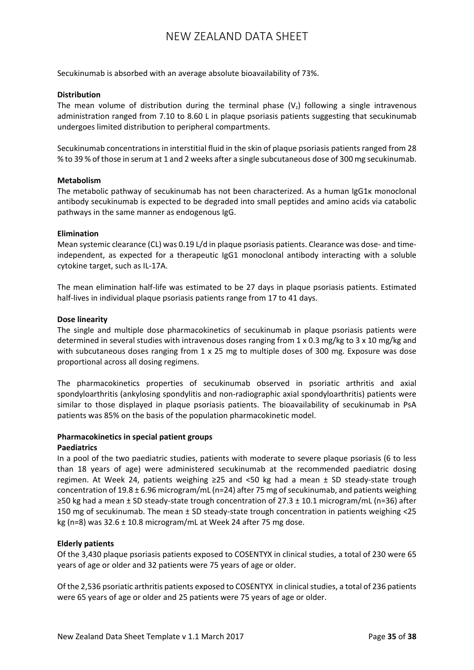Secukinumab is absorbed with an average absolute bioavailability of 73%.

#### **Distribution**

The mean volume of distribution during the terminal phase  $(V<sub>z</sub>)$  following a single intravenous administration ranged from 7.10 to 8.60 L in plaque psoriasis patients suggesting that secukinumab undergoes limited distribution to peripheral compartments.

Secukinumab concentrations in interstitial fluid in the skin of plaque psoriasis patients ranged from 28 % to 39 % of those in serum at 1 and 2 weeks after a single subcutaneous dose of 300 mg secukinumab.

#### **Metabolism**

The metabolic pathway of secukinumab has not been characterized. As a human IgG1κ monoclonal antibody secukinumab is expected to be degraded into small peptides and amino acids via catabolic pathways in the same manner as endogenous IgG.

#### **Elimination**

Mean systemic clearance (CL) was 0.19 L/d in plaque psoriasis patients. Clearance was dose- and timeindependent, as expected for a therapeutic IgG1 monoclonal antibody interacting with a soluble cytokine target, such as IL-17A.

The mean elimination half-life was estimated to be 27 days in plaque psoriasis patients. Estimated half-lives in individual plaque psoriasis patients range from 17 to 41 days.

#### **Dose linearity**

The single and multiple dose pharmacokinetics of secukinumab in plaque psoriasis patients were determined in several studies with intravenous doses ranging from 1 x 0.3 mg/kg to 3 x 10 mg/kg and with subcutaneous doses ranging from 1 x 25 mg to multiple doses of 300 mg. Exposure was dose proportional across all dosing regimens.

The pharmacokinetics properties of secukinumab observed in psoriatic arthritis and axial spondyloarthritis (ankylosing spondylitis and non-radiographic axial spondyloarthritis) patients were similar to those displayed in plaque psoriasis patients. The bioavailability of secukinumab in PsA patients was 85% on the basis of the population pharmacokinetic model.

### **Pharmacokinetics in special patient groups**

#### **Paediatrics**

In a pool of the two paediatric studies, patients with moderate to severe plaque psoriasis (6 to less than 18 years of age) were administered secukinumab at the recommended paediatric dosing regimen. At Week 24, patients weighing  $\geq$ 25 and <50 kg had a mean  $\pm$  SD steady-state trough concentration of 19.8 ± 6.96 microgram/mL (n=24) after 75 mg of secukinumab, and patients weighing ≥50 kg had a mean ± SD steady-state trough concentration of 27.3 ± 10.1 microgram/mL (n=36) after 150 mg of secukinumab. The mean ± SD steady-state trough concentration in patients weighing <25 kg (n=8) was  $32.6 \pm 10.8$  microgram/mL at Week 24 after 75 mg dose.

### **Elderly patients**

Of the 3,430 plaque psoriasis patients exposed to COSENTYX in clinical studies, a total of 230 were 65 years of age or older and 32 patients were 75 years of age or older.

Of the 2,536 psoriatic arthritis patients exposed to COSENTYX in clinical studies, a total of 236 patients were 65 years of age or older and 25 patients were 75 years of age or older.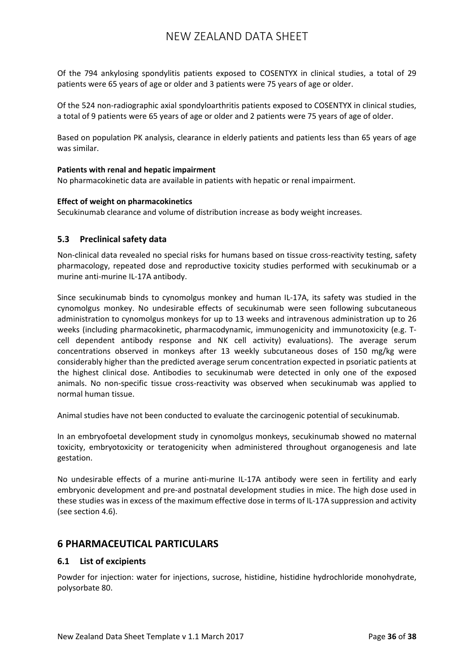Of the 794 ankylosing spondylitis patients exposed to COSENTYX in clinical studies, a total of 29 patients were 65 years of age or older and 3 patients were 75 years of age or older.

Of the 524 non-radiographic axial spondyloarthritis patients exposed to COSENTYX in clinical studies, a total of 9 patients were 65 years of age or older and 2 patients were 75 years of age of older.

Based on population PK analysis, clearance in elderly patients and patients less than 65 years of age was similar.

### **Patients with renal and hepatic impairment**

No pharmacokinetic data are available in patients with hepatic or renal impairment.

#### **Effect of weight on pharmacokinetics**

Secukinumab clearance and volume of distribution increase as body weight increases.

### **5.3 Preclinical safety data**

Non-clinical data revealed no special risks for humans based on tissue cross-reactivity testing, safety pharmacology, repeated dose and reproductive toxicity studies performed with secukinumab or a murine anti-murine IL-17A antibody.

Since secukinumab binds to cynomolgus monkey and human IL-17A, its safety was studied in the cynomolgus monkey. No undesirable effects of secukinumab were seen following subcutaneous administration to cynomolgus monkeys for up to 13 weeks and intravenous administration up to 26 weeks (including pharmacokinetic, pharmacodynamic, immunogenicity and immunotoxicity (e.g. Tcell dependent antibody response and NK cell activity) evaluations). The average serum concentrations observed in monkeys after 13 weekly subcutaneous doses of 150 mg/kg were considerably higher than the predicted average serum concentration expected in psoriatic patients at the highest clinical dose. Antibodies to secukinumab were detected in only one of the exposed animals. No non-specific tissue cross-reactivity was observed when secukinumab was applied to normal human tissue.

Animal studies have not been conducted to evaluate the carcinogenic potential of secukinumab.

In an embryofoetal development study in cynomolgus monkeys, secukinumab showed no maternal toxicity, embryotoxicity or teratogenicity when administered throughout organogenesis and late gestation.

No undesirable effects of a murine anti-murine IL-17A antibody were seen in fertility and early embryonic development and pre-and postnatal development studies in mice. The high dose used in these studies was in excess of the maximum effective dose in terms of IL-17A suppression and activity (see section 4.6).

## **6 PHARMACEUTICAL PARTICULARS**

### **6.1 List of excipients**

Powder for injection: water for injections, sucrose, histidine, histidine hydrochloride monohydrate, polysorbate 80.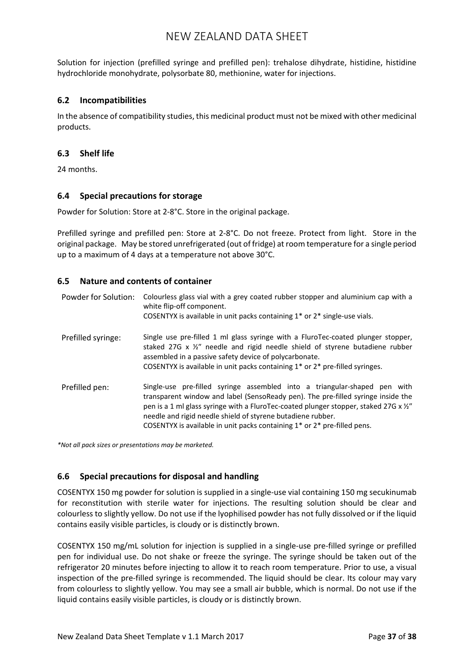Solution for injection (prefilled syringe and prefilled pen): trehalose dihydrate, histidine, histidine hydrochloride monohydrate, polysorbate 80, methionine, water for injections.

## **6.2 Incompatibilities**

In the absence of compatibility studies, this medicinal product must not be mixed with other medicinal products.

### **6.3 Shelf life**

24 months.

### **6.4 Special precautions for storage**

Powder for Solution: Store at 2-8°C. Store in the original package.

Prefilled syringe and prefilled pen: Store at 2-8°C. Do not freeze. Protect from light. Store in the original package. May be stored unrefrigerated (out of fridge) at room temperature for a single period up to a maximum of 4 days at a temperature not above 30°C.

### **6.5 Nature and contents of container**

| Powder for Solution: | Colourless glass vial with a grey coated rubber stopper and aluminium cap with a<br>white flip-off component.<br>COSENTYX is available in unit packs containing 1* or 2* single-use vials.                                                                                                                                                                                                                                             |
|----------------------|----------------------------------------------------------------------------------------------------------------------------------------------------------------------------------------------------------------------------------------------------------------------------------------------------------------------------------------------------------------------------------------------------------------------------------------|
| Prefilled syringe:   | Single use pre-filled 1 ml glass syringe with a FluroTec-coated plunger stopper,<br>staked 27G x $\frac{1}{2}$ " needle and rigid needle shield of styrene butadiene rubber<br>assembled in a passive safety device of polycarbonate.<br>COSENTYX is available in unit packs containing 1 <sup>*</sup> or 2 <sup>*</sup> pre-filled syringes.                                                                                          |
| Prefilled pen:       | Single-use pre-filled syringe assembled into a triangular-shaped pen with<br>transparent window and label (SensoReady pen). The pre-filled syringe inside the<br>pen is a 1 ml glass syringe with a FluroTec-coated plunger stopper, staked 27G x $\frac{y''}{z''}$<br>needle and rigid needle shield of styrene butadiene rubber.<br>COSENTYX is available in unit packs containing 1 <sup>*</sup> or 2 <sup>*</sup> pre-filled pens. |

*\*Not all pack sizes or presentations may be marketed.*

## **6.6 Special precautions for disposal and handling**

COSENTYX 150 mg powder for solution is supplied in a single-use vial containing 150 mg secukinumab for reconstitution with sterile water for injections. The resulting solution should be clear and colourless to slightly yellow. Do not use if the lyophilised powder has not fully dissolved or if the liquid contains easily visible particles, is cloudy or is distinctly brown.

COSENTYX 150 mg/mL solution for injection is supplied in a single-use pre-filled syringe or prefilled pen for individual use. Do not shake or freeze the syringe. The syringe should be taken out of the refrigerator 20 minutes before injecting to allow it to reach room temperature. Prior to use, a visual inspection of the pre-filled syringe is recommended. The liquid should be clear. Its colour may vary from colourless to slightly yellow. You may see a small air bubble, which is normal. Do not use if the liquid contains easily visible particles, is cloudy or is distinctly brown.